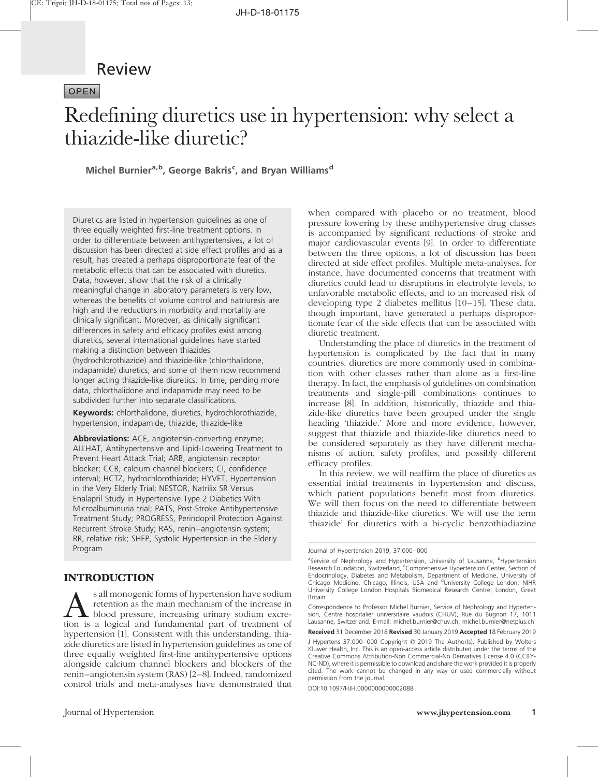## Review

OPEN

# Redefining diuretics use in hypertension: why select a thiazide-like diuretic?

Michel Burnier<sup>a, b</sup>, George Bakris<sup>c</sup>, and Bryan Williams<sup>d</sup>

Diuretics are listed in hypertension guidelines as one of three equally weighted first-line treatment options. In order to differentiate between antihypertensives, a lot of discussion has been directed at side effect profiles and as a result, has created a perhaps disproportionate fear of the metabolic effects that can be associated with diuretics. Data, however, show that the risk of a clinically meaningful change in laboratory parameters is very low, whereas the benefits of volume control and natriuresis are high and the reductions in morbidity and mortality are clinically significant. Moreover, as clinically significant differences in safety and efficacy profiles exist among diuretics, several international guidelines have started making a distinction between thiazides

(hydrochlorothiazide) and thiazide-like (chlorthalidone, indapamide) diuretics; and some of them now recommend longer acting thiazide-like diuretics. In time, pending more data, chlorthalidone and indapamide may need to be subdivided further into separate classifications.

Keywords: chlorthalidone, diuretics, hydrochlorothiazide, hypertension, indapamide, thiazide, thiazide-like

Abbreviations: ACE, angiotensin-converting enzyme; ALLHAT, Antihypertensive and Lipid-Lowering Treatment to Prevent Heart Attack Trial; ARB, angiotensin receptor blocker; CCB, calcium channel blockers; CI, confidence interval; HCTZ, hydrochlorothiazide; HYVET, Hypertension in the Very Elderly Trial; NESTOR, Natrilix SR Versus Enalapril Study in Hypertensive Type 2 Diabetics With Microalbuminuria trial; PATS, Post-Stroke Antihypertensive Treatment Study; PROGRESS, Perindopril Protection Against Recurrent Stroke Study; RAS, renin–angiotensin system; RR, relative risk; SHEP, Systolic Hypertension in the Elderly Program

## INTRODUCTION

s all monogenic forms of hypertension have sodium<br>retention as the main mechanism of the increase in<br>blood pressure, increasing urinary sodium excre-<br>tion is a logical and fundamental part of treatment of retention as the main mechanism of the increase in blood pressure, increasing urinary sodium excretion is a logical and fundamental part of treatment of hypertension [\[1\].](#page-9-0) Consistent with this understanding, thiazide diuretics are listed in hypertension guidelines as one of three equally weighted first-line antihypertensive options alongside calcium channel blockers and blockers of the renin–angiotensin system (RAS) [\[2–8\].](#page-9-0) Indeed, randomized control trials and meta-analyses have demonstrated that when compared with placebo or no treatment, blood pressure lowering by these antihypertensive drug classes is accompanied by significant reductions of stroke and major cardiovascular events [\[9\]](#page-9-0). In order to differentiate between the three options, a lot of discussion has been directed at side effect profiles. Multiple meta-analyses, for instance, have documented concerns that treatment with diuretics could lead to disruptions in electrolyte levels, to unfavorable metabolic effects, and to an increased risk of developing type 2 diabetes mellitus [\[10–15\].](#page-9-0) These data, though important, have generated a perhaps disproportionate fear of the side effects that can be associated with diuretic treatment.

Understanding the place of diuretics in the treatment of hypertension is complicated by the fact that in many countries, diuretics are more commonly used in combination with other classes rather than alone as a first-line therapy. In fact, the emphasis of guidelines on combination treatments and single-pill combinations continues to increase [\[8\].](#page-9-0) In addition, historically, thiazide and thiazide-like diuretics have been grouped under the single heading 'thiazide.' More and more evidence, however, suggest that thiazide and thiazide-like diuretics need to be considered separately as they have different mechanisms of action, safety profiles, and possibly different efficacy profiles.

In this review, we will reaffirm the place of diuretics as essential initial treatments in hypertension and discuss, which patient populations benefit most from diuretics. We will then focus on the need to differentiate between thiazide and thiazide-like diuretics. We will use the term 'thiazide' for diuretics with a bi-cyclic benzothiadiazine

DOI:10.1097/HJH.0000000000002088

Journal of Hypertension 2019, 37:000–000

<sup>&</sup>lt;sup>a</sup>Service of Nephrology and Hypertension, University of Lausanne, <sup>b</sup>Hypertension Research Foundation, Switzerland, <sup>c</sup>Comprehensive Hypertension Center, Section of Endocrinology, Diabetes and Metabolism, Department of Medicine, University of Chicago Medicine, Chicago, Illinois, USA and <sup>d</sup>University College London, NIHR University College London Hospitals Biomedical Research Centre, London, Great Britain

Correspondence to Professor Michel Burnier, Service of Nephrology and Hypertension, Centre hospitalier universitaire vaudois (CHUV), Rue du Bugnon 17, 1011 Lausanne, Switzerland. E-mail: [michel.burnier@chuv.ch;](mailto:michel.burnier@chuv.ch) [michel.burnier@netplus.ch](mailto:michel.burnier@netplus.ch)

Received 31 December 2018 Revised 30 January 2019 Accepted 18 February 2019 J Hypertens 37:000–000 Copyright © 2019 The Author(s). Published by Wolters Kluwer Health, Inc. This is an open-access article distributed under the terms of the Creative Commons Attribution-Non Commercial-No Derivatives License 4.0 (CCBY-NC-ND), where it is permissible to download and share the work provided it is properly cited. The work cannot be changed in any way or used commercially without permission from the journal.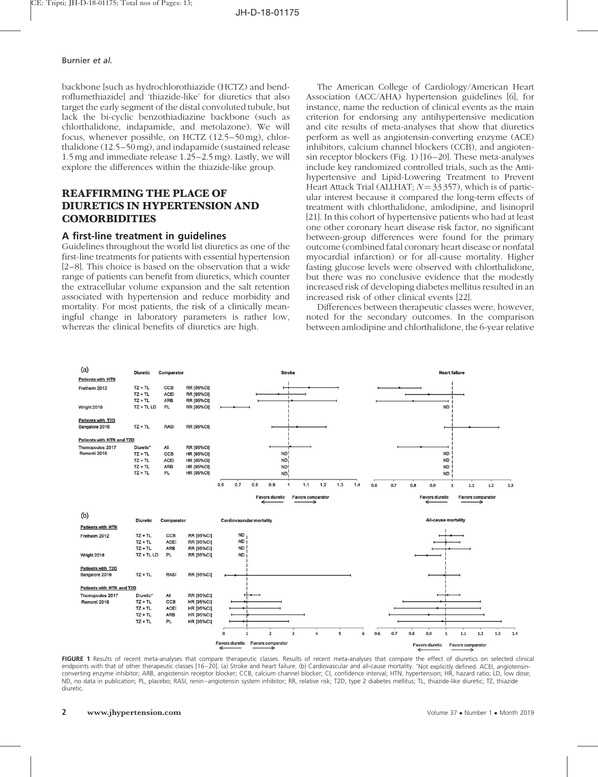#### Burnier et al.

backbone [such as hydrochlorothiazide (HCTZ) and bendroflumethiazide] and 'thiazide-like' for diuretics that also target the early segment of the distal convoluted tubule, but lack the bi-cyclic benzothiadiazine backbone (such as chlorthalidone, indapamide, and metolazone). We will focus, whenever possible, on HCTZ (12.5–50 mg), chlorthalidone (12.5–50 mg), and indapamide (sustained release 1.5 mg and immediate release 1.25–2.5 mg). Lastly, we will explore the differences within the thiazide-like group.

## REAFFIRMING THE PLACE OF DIURETICS IN HYPERTENSION AND COMORBIDITIES

#### A first-line treatment in guidelines

Guidelines throughout the world list diuretics as one of the first-line treatments for patients with essential hypertension [\[2–8\]](#page-9-0). This choice is based on the observation that a wide range of patients can benefit from diuretics, which counter the extracellular volume expansion and the salt retention associated with hypertension and reduce morbidity and mortality. For most patients, the risk of a clinically meaningful change in laboratory parameters is rather low, whereas the clinical benefits of diuretics are high.

The American College of Cardiology/American Heart Association (ACC/AHA) hypertension guidelines [\[6\],](#page-9-0) for instance, name the reduction of clinical events as the main criterion for endorsing any antihypertensive medication and cite results of meta-analyses that show that diuretics perform as well as angiotensin-converting enzyme (ACE) inhibitors, calcium channel blockers (CCB), and angiotensin receptor blockers (Fig. 1) [\[16–20\].](#page-9-0) These meta-analyses include key randomized controlled trials, such as the Antihypertensive and Lipid-Lowering Treatment to Prevent Heart Attack Trial (ALLHAT;  $N = 33357$ ), which is of particular interest because it compared the long-term effects of treatment with chlorthalidone, amlodipine, and lisinopril [\[21\]](#page-9-0). In this cohort of hypertensive patients who had at least one other coronary heart disease risk factor, no significant between-group differences were found for the primary outcome (combined fatal coronary heart disease or nonfatal myocardial infarction) or for all-cause mortality. Higher fasting glucose levels were observed with chlorthalidone, but there was no conclusive evidence that the modestly increased risk of developing diabetes mellitus resulted in an increased risk of other clinical events [\[22\]](#page-9-0).

Differences between therapeutic classes were, however, noted for the secondary outcomes. In the comparison between amlodipine and chlorthalidone, the 6-year relative



FIGURE 1 Results of recent meta-analyses that compare therapeutic classes. Results of recent meta-analyses that compare the effect of diuretics on selected clinical endpoints with that of other therapeutic classes [\[16–20\]](#page-9-0). (a) Stroke and heart failure. (b) Cardiovascular and all-cause mortality. \*Not explicitly defined. ACEI, angiotensinconverting enzyme inhibitor; ARB, angiotensin receptor blocker; CCB, calcium channel blocker; CI, confidence interval; HTN, hypertension; HR, hazard ratio; LD, low dose; ND, no data in publication; PL, placebo; RASI, renin–angiotensin system inhibitor; RR, relative risk; T2D, type 2 diabetes mellitus; TL, thiazide-like diuretic; TZ, thiazide diuretic.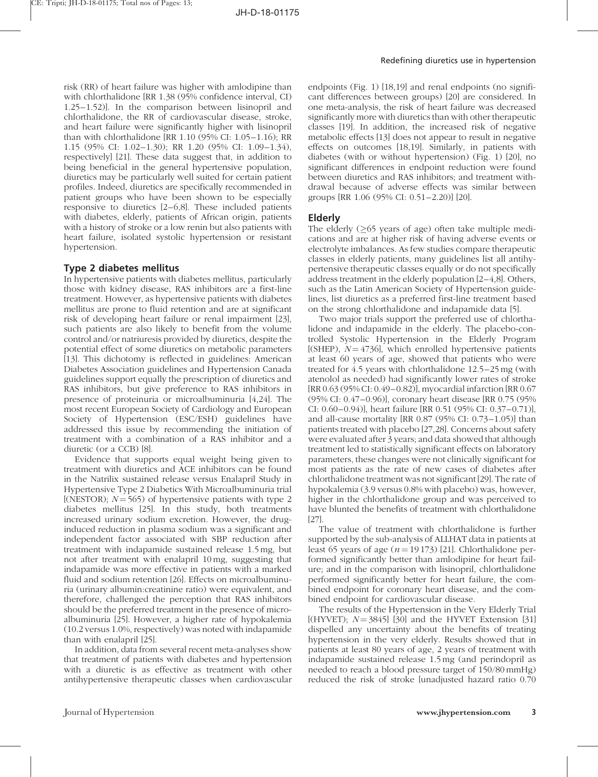risk (RR) of heart failure was higher with amlodipine than with chlorthalidone [RR 1.38 (95% confidence interval, CI) 1.25–1.52)]. In the comparison between lisinopril and chlorthalidone, the RR of cardiovascular disease, stroke, and heart failure were significantly higher with lisinopril than with chlorthalidone [RR 1.10 (95% CI: 1.05–1.16); RR 1.15 (95% CI: 1.02–1.30); RR 1.20 (95% CI: 1.09–1.34), respectively] [\[21\].](#page-9-0) These data suggest that, in addition to being beneficial in the general hypertensive population, diuretics may be particularly well suited for certain patient profiles. Indeed, diuretics are specifically recommended in patient groups who have been shown to be especially responsive to diuretics [\[2–6,8\]](#page-9-0). These included patients with diabetes, elderly, patients of African origin, patients with a history of stroke or a low renin but also patients with heart failure, isolated systolic hypertension or resistant hypertension.

## Type 2 diabetes mellitus

In hypertensive patients with diabetes mellitus, particularly those with kidney disease, RAS inhibitors are a first-line treatment. However, as hypertensive patients with diabetes mellitus are prone to fluid retention and are at significant risk of developing heart failure or renal impairment [\[23\],](#page-9-0) such patients are also likely to benefit from the volume control and/or natriuresis provided by diuretics, despite the potential effect of some diuretics on metabolic parameters [\[13\].](#page-9-0) This dichotomy is reflected in guidelines: American Diabetes Association guidelines and Hypertension Canada guidelines support equally the prescription of diuretics and RAS inhibitors, but give preference to RAS inhibitors in presence of proteinuria or microalbuminuria [\[4,24\].](#page-9-0) The most recent European Society of Cardiology and European Society of Hypertension (ESC/ESH) guidelines have addressed this issue by recommending the initiation of treatment with a combination of a RAS inhibitor and a diuretic (or a CCB) [\[8\]](#page-9-0).

Evidence that supports equal weight being given to treatment with diuretics and ACE inhibitors can be found in the Natrilix sustained release versus Enalapril Study in Hypertensive Type 2 Diabetics With Microalbuminuria trial [(NESTOR);  $N = 565$ ) of hypertensive patients with type 2 diabetes mellitus [\[25\].](#page-9-0) In this study, both treatments increased urinary sodium excretion. However, the druginduced reduction in plasma sodium was a significant and independent factor associated with SBP reduction after treatment with indapamide sustained release 1.5 mg, but not after treatment with enalapril 10 mg, suggesting that indapamide was more effective in patients with a marked fluid and sodium retention [\[26\]](#page-9-0). Effects on microalbuminuria (urinary albumin:creatinine ratio) were equivalent, and therefore, challenged the perception that RAS inhibitors should be the preferred treatment in the presence of microalbuminuria [\[25\].](#page-9-0) However, a higher rate of hypokalemia (10.2 versus 1.0%, respectively) was noted with indapamide than with enalapril [\[25\]](#page-9-0).

In addition, data from several recent meta-analyses show that treatment of patients with diabetes and hypertension with a diuretic is as effective as treatment with other antihypertensive therapeutic classes when cardiovascular endpoints (Fig. 1) [\[18,19\]](#page-9-0) and renal endpoints (no significant differences between groups) [\[20\]](#page-9-0) are considered. In one meta-analysis, the risk of heart failure was decreased significantly more with diuretics than with other therapeutic classes [\[19\]](#page-9-0). In addition, the increased risk of negative metabolic effects [\[13\]](#page-9-0) does not appear to result in negative effects on outcomes [\[18,19\].](#page-9-0) Similarly, in patients with diabetes (with or without hypertension) (Fig. 1) [\[20\],](#page-9-0) no significant differences in endpoint reduction were found between diuretics and RAS inhibitors; and treatment withdrawal because of adverse effects was similar between groups [RR 1.06 (95% CI: 0.51–2.20)] [\[20\]](#page-9-0).

## Elderly

The elderly  $(265 \text{ years of age})$  often take multiple medications and are at higher risk of having adverse events or electrolyte imbalances. As few studies compare therapeutic classes in elderly patients, many guidelines list all antihypertensive therapeutic classes equally or do not specifically address treatment in the elderly population [\[2–4,8\].](#page-9-0) Others, such as the Latin American Society of Hypertension guidelines, list diuretics as a preferred first-line treatment based on the strong chlorthalidone and indapamide data [\[5\]](#page-9-0).

Two major trials support the preferred use of chlorthalidone and indapamide in the elderly. The placebo-controlled Systolic Hypertension in the Elderly Program [(SHEP),  $N = 4736$ ], which enrolled hypertensive patients at least 60 years of age, showed that patients who were treated for 4.5 years with chlorthalidone 12.5–25 mg (with atenolol as needed) had significantly lower rates of stroke [RR 0.63 (95% CI: 0.49–0.82)], myocardial infarction [RR 0.67 (95% CI: 0.47–0.96)], coronary heart disease [RR 0.75 (95% CI: 0.60–0.94)], heart failure [RR 0.51 (95% CI: 0.37–0.71)], and all-cause mortality [RR 0.87 (95% CI: 0.73–1.05)] than patients treated with placebo [\[27,28\].](#page-9-0) Concerns about safety were evaluated after 3 years; and data showed that although treatment led to statistically significant effects on laboratory parameters, these changes were not clinically significant for most patients as the rate of new cases of diabetes after chlorthalidone treatment was not significant [\[29\].](#page-10-0) The rate of hypokalemia (3.9 versus 0.8% with placebo) was, however, higher in the chlorthalidone group and was perceived to have blunted the benefits of treatment with chlorthalidone [\[27\]](#page-9-0).

The value of treatment with chlorthalidone is further supported by the sub-analysis of ALLHAT data in patients at least 65 years of age ( $n = 19173$ ) [\[21\].](#page-9-0) Chlorthalidone performed significantly better than amlodipine for heart failure; and in the comparison with lisinopril, chlorthalidone performed significantly better for heart failure, the combined endpoint for coronary heart disease, and the combined endpoint for cardiovascular disease.

The results of the Hypertension in the Very Elderly Trial [(HYVET);  $N = 3845$ ] [\[30\]](#page-10-0) and the HYVET Extension [\[31\]](#page-10-0) dispelled any uncertainty about the benefits of treating hypertension in the very elderly. Results showed that in patients at least 80 years of age, 2 years of treatment with indapamide sustained release 1.5 mg (and perindopril as needed to reach a blood pressure target of 150/80 mmHg) reduced the risk of stroke [unadjusted hazard ratio 0.70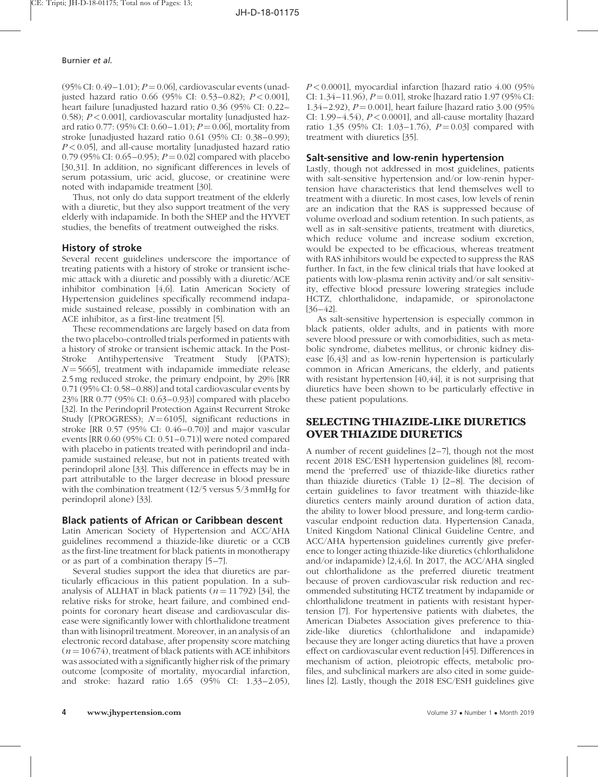$(95\%$  CI:  $0.49-1.01$ );  $P = 0.06$ , cardiovascular events (unadjusted hazard ratio  $0.66$  (95% CI: 0.53–0.82);  $P < 0.001$ ], heart failure [unadjusted hazard ratio 0.36 (95% CI: 0.22– 0.58);  $P < 0.001$ ], cardiovascular mortality [unadjusted hazard ratio 0.77: (95% CI: 0.60–1.01);  $P = 0.06$ , mortality from stroke [unadjusted hazard ratio 0.61 (95% CI: 0.38–0.99);  $P < 0.05$ ], and all-cause mortality [unadjusted hazard ratio 0.79 (95% CI: 0.65–0.95);  $P = 0.02$  compared with placebo [\[30,31\]](#page-10-0). In addition, no significant differences in levels of serum potassium, uric acid, glucose, or creatinine were noted with indapamide treatment [\[30\]](#page-10-0).

Thus, not only do data support treatment of the elderly with a diuretic, but they also support treatment of the very elderly with indapamide. In both the SHEP and the HYVET studies, the benefits of treatment outweighed the risks.

## History of stroke

Several recent guidelines underscore the importance of treating patients with a history of stroke or transient ischemic attack with a diuretic and possibly with a diuretic/ACE inhibitor combination [\[4,6\]](#page-9-0). Latin American Society of Hypertension guidelines specifically recommend indapamide sustained release, possibly in combination with an ACE inhibitor, as a first-line treatment [\[5\].](#page-9-0)

These recommendations are largely based on data from the two placebo-controlled trials performed in patients with a history of stroke or transient ischemic attack. In the Post-Stroke Antihypertensive Treatment Study [(PATS);  $N = 5665$ , treatment with indapamide immediate release 2.5 mg reduced stroke, the primary endpoint, by 29% [RR 0.71 (95% CI: 0.58–0.88)] and total cardiovascular events by 23% [RR 0.77 (95% CI: 0.63–0.93)] compared with placebo [\[32\].](#page-10-0) In the Perindopril Protection Against Recurrent Stroke Study [(PROGRESS);  $N = 6105$ ], significant reductions in stroke [RR 0.57 (95% CI: 0.46–0.70)] and major vascular events [RR 0.60 (95% CI: 0.51–0.71)] were noted compared with placebo in patients treated with perindopril and indapamide sustained release, but not in patients treated with perindopril alone [\[33\]](#page-10-0). This difference in effects may be in part attributable to the larger decrease in blood pressure with the combination treatment (12/5 versus 5/3 mmHg for perindopril alone) [\[33\].](#page-10-0)

## Black patients of African or Caribbean descent

Latin American Society of Hypertension and ACC/AHA guidelines recommend a thiazide-like diuretic or a CCB as the first-line treatment for black patients in monotherapy or as part of a combination therapy [\[5–7\].](#page-9-0)

Several studies support the idea that diuretics are particularly efficacious in this patient population. In a subanalysis of ALLHAT in black patients  $(n = 11792)$  [\[34\]](#page-10-0), the relative risks for stroke, heart failure, and combined endpoints for coronary heart disease and cardiovascular disease were significantly lower with chlorthalidone treatment than with lisinopril treatment. Moreover, in an analysis of an electronic record database, after propensity score matching  $(n = 10674)$ , treatment of black patients with ACE inhibitors was associated with a significantly higher risk of the primary outcome [composite of mortality, myocardial infarction, and stroke: hazard ratio 1.65 (95% CI: 1.33–2.05),

 $P < 0.0001$ , myocardial infarction [hazard ratio 4.00 (95%) CI: 1.34–11.96),  $P = 0.01$ , stroke [hazard ratio 1.97 (95% CI: 1.34–2.92),  $P = 0.001$ , heart failure [hazard ratio 3.00 (95%) CI: 1.99–4.54),  $P < 0.0001$ ], and all-cause mortality [hazard] ratio 1.35 (95% CI: 1.03–1.76),  $P = 0.03$  compared with treatment with diuretics [\[35\].](#page-10-0)

## Salt-sensitive and low-renin hypertension

Lastly, though not addressed in most guidelines, patients with salt-sensitive hypertension and/or low-renin hypertension have characteristics that lend themselves well to treatment with a diuretic. In most cases, low levels of renin are an indication that the RAS is suppressed because of volume overload and sodium retention. In such patients, as well as in salt-sensitive patients, treatment with diuretics, which reduce volume and increase sodium excretion. would be expected to be efficacious, whereas treatment with RAS inhibitors would be expected to suppress the RAS further. In fact, in the few clinical trials that have looked at patients with low-plasma renin activity and/or salt sensitivity, effective blood pressure lowering strategies include HCTZ, chlorthalidone, indapamide, or spironolactone [\[36–42\].](#page-10-0)

As salt-sensitive hypertension is especially common in black patients, older adults, and in patients with more severe blood pressure or with comorbidities, such as metabolic syndrome, diabetes mellitus, or chronic kidney disease [\[6,43\]](#page-9-0) and as low-renin hypertension is particularly common in African Americans, the elderly, and patients with resistant hypertension [\[40,44\]](#page-10-0), it is not surprising that diuretics have been shown to be particularly effective in these patient populations.

## SELECTING THIAZIDE-LIKE DIURETICS OVER THIAZIDE DIURETICS

A number of recent guidelines [\[2–7\]](#page-9-0), though not the most recent 2018 ESC/ESH hypertension guidelines [\[8\]](#page-9-0), recommend the 'preferred' use of thiazide-like diuretics rather than thiazide diuretics (Table 1) [\[2–8\].](#page-9-0) The decision of certain guidelines to favor treatment with thiazide-like diuretics centers mainly around duration of action data, the ability to lower blood pressure, and long-term cardiovascular endpoint reduction data. Hypertension Canada, United Kingdom National Clinical Guideline Centre, and ACC/AHA hypertension guidelines currently give preference to longer acting thiazide-like diuretics (chlorthalidone and/or indapamide) [\[2,4,6\]](#page-9-0). In 2017, the ACC/AHA singled out chlorthalidone as the preferred diuretic treatment because of proven cardiovascular risk reduction and recommended substituting HCTZ treatment by indapamide or chlorthalidone treatment in patients with resistant hypertension [\[7\]](#page-9-0). For hypertensive patients with diabetes, the American Diabetes Association gives preference to thiazide-like diuretics (chlorthalidone and indapamide) because they are longer acting diuretics that have a proven effect on cardiovascular event reduction [\[45\]](#page-10-0). Differences in mechanism of action, pleiotropic effects, metabolic profiles, and subclinical markers are also cited in some guidelines [\[2\]](#page-9-0). Lastly, though the 2018 ESC/ESH guidelines give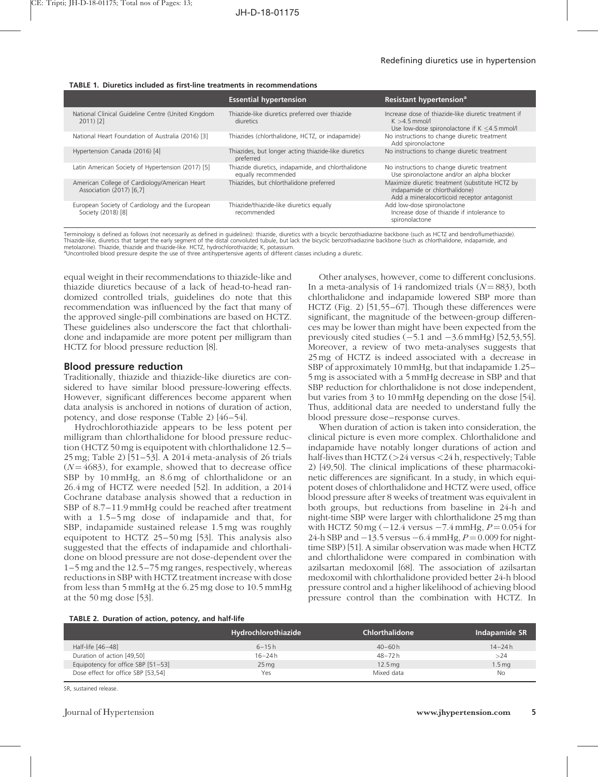#### TABLE 1. Diuretics included as first-line treatments in recommendations

|                                                                           | <b>Essential hypertension</b>                                             | <b>Resistant hypertension<sup>a</sup></b>                                                                                       |
|---------------------------------------------------------------------------|---------------------------------------------------------------------------|---------------------------------------------------------------------------------------------------------------------------------|
| National Clinical Guideline Centre (United Kingdom<br>$2011$ ) [2]        | Thiazide-like diuretics preferred over thiazide<br>diuretics              | Increase dose of thiazide-like diuretic treatment if<br>$K > 4.5$ mmol/l<br>Use low-dose spironolactone if $K < 4.5$ mmol/l     |
| National Heart Foundation of Australia (2016) [3]                         | Thiazides (chlorthalidone, HCTZ, or indapamide)                           | No instructions to change diuretic treatment<br>Add spironolactone                                                              |
| Hypertension Canada (2016) [4]                                            | Thiazides, but longer acting thiazide-like diuretics<br>preferred         | No instructions to change diuretic treatment                                                                                    |
| Latin American Society of Hypertension (2017) [5]                         | Thiazide diuretics, indapamide, and chlorthalidone<br>equally recommended | No instructions to change diuretic treatment<br>Use spironolactone and/or an alpha blocker                                      |
| American College of Cardiology/American Heart<br>Association (2017) [6,7] | Thiazides, but chlorthalidone preferred                                   | Maximize diuretic treatment (substitute HCTZ by<br>indapamide or chlorthalidone)<br>Add a mineralocorticoid receptor antagonist |
| European Society of Cardiology and the European<br>Society (2018) [8]     | Thiazide/thiazide-like diuretics equally<br>recommended                   | Add low-dose spironolactone<br>Increase dose of thiazide if intolerance to<br>spironolactone                                    |

Terminology is defined as follows (not necessarily as defined in guidelines): thiazide, diuretics with a bicyclic benzothiadiazine backbone (such as HCTZ and bendroflumethiazide). Thiazide-like, diuretics that target the early segment of the distal convoluted tubule, but lack the bicyclic benzothiadiazine backbone (such as chlorthalidone, indapamide, and

metolazone). Thiazide, thiazide and thiazide-like. HCTZ, hydrochlorothiazide; K, potassium. a Uncontrolled blood pressure despite the use of three antihypertensive agents of different classes including a diuretic.

equal weight in their recommendations to thiazide-like and thiazide diuretics because of a lack of head-to-head randomized controlled trials, guidelines do note that this recommendation was influenced by the fact that many of the approved single-pill combinations are based on HCTZ. These guidelines also underscore the fact that chlorthalidone and indapamide are more potent per milligram than HCTZ for blood pressure reduction [\[8\].](#page-9-0)

#### Blood pressure reduction

Traditionally, thiazide and thiazide-like diuretics are considered to have similar blood pressure-lowering effects. However, significant differences become apparent when data analysis is anchored in notions of duration of action, potency, and dose response (Table 2) [\[46–54\].](#page-10-0)

Hydrochlorothiazide appears to be less potent per milligram than chlorthalidone for blood pressure reduction (HCTZ 50 mg is equipotent with chlorthalidone 12.5– 25 mg; Table 2) [\[51–53\].](#page-10-0) A 2014 meta-analysis of 26 trials  $(N = 4683)$ , for example, showed that to decrease office SBP by 10 mmHg, an 8.6 mg of chlorthalidone or an 26.4 mg of HCTZ were needed [\[52\].](#page-10-0) In addition, a 2014 Cochrane database analysis showed that a reduction in SBP of 8.7–11.9 mmHg could be reached after treatment with a 1.5–5 mg dose of indapamide and that, for SBP, indapamide sustained release 1.5 mg was roughly equipotent to HCTZ 25–50 mg [\[53\]](#page-10-0). This analysis also suggested that the effects of indapamide and chlorthalidone on blood pressure are not dose-dependent over the 1–5 mg and the 12.5–75 mg ranges, respectively, whereas reductions in SBP with HCTZ treatment increase with dose from less than 5 mmHg at the 6.25 mg dose to 10.5 mmHg at the 50 mg dose [\[53\]](#page-10-0).

Other analyses, however, come to different conclusions. In a meta-analysis of 14 randomized trials  $(N = 883)$ , both chlorthalidone and indapamide lowered SBP more than HCTZ (Fig. 2) [\[51,55–67\].](#page-10-0) Though these differences were significant, the magnitude of the between-group differences may be lower than might have been expected from the previously cited studies  $(-5.1 \text{ and } -3.6 \text{ mmHg})$  [\[52,53,55\]](#page-10-0). Moreover, a review of two meta-analyses suggests that 25 mg of HCTZ is indeed associated with a decrease in SBP of approximately 10 mmHg, but that indapamide 1.25– 5 mg is associated with a 5 mmHg decrease in SBP and that SBP reduction for chlorthalidone is not dose independent, but varies from 3 to 10 mmHg depending on the dose [\[54\]](#page-10-0). Thus, additional data are needed to understand fully the blood pressure dose– response curves.

When duration of action is taken into consideration, the clinical picture is even more complex. Chlorthalidone and indapamide have notably longer durations of action and half-lives than HCTZ (>24 versus <24 h, respectively; Table 2) [\[49,50\]](#page-10-0). The clinical implications of these pharmacokinetic differences are significant. In a study, in which equipotent doses of chlorthalidone and HCTZ were used, office blood pressure after 8 weeks of treatment was equivalent in both groups, but reductions from baseline in 24-h and night-time SBP were larger with chlorthalidone 25 mg than with HCTZ 50 mg  $(-12.4 \text{ versus } -7.4 \text{ mmHg}, P = 0.054 \text{ for }$ 24-h SBP and  $-13.5$  versus  $-6.4$  mmHg,  $P = 0.009$  for nighttime SBP) [\[51\]](#page-10-0). A similar observation was made when HCTZ and chlorthalidone were compared in combination with azilsartan medoxomil [\[68\]](#page-11-0). The association of azilsartan medoxomil with chlorthalidone provided better 24-h blood pressure control and a higher likelihood of achieving blood pressure control than the combination with HCTZ. In

|  |  |  |  | TABLE 2. Duration of action, potency, and half-life |
|--|--|--|--|-----------------------------------------------------|
|--|--|--|--|-----------------------------------------------------|

|                                    | Hydrochlorothiazide | <b>Chlorthalidone</b> | Indapamide SR     |
|------------------------------------|---------------------|-----------------------|-------------------|
| Half-life [46-48]                  | $6 - 15h$           | $40 - 60h$            | $14 - 24h$        |
| Duration of action [49,50]         | $16 - 24h$          | $48 - 72h$            | >24               |
| Equipotency for office SBP [51-53] | 25 <sub>mg</sub>    | $12.5 \,\mathrm{mg}$  | 1.5 <sub>mq</sub> |
| Dose effect for office SBP [53,54] | Yes                 | Mixed data            | No                |

SR, sustained release.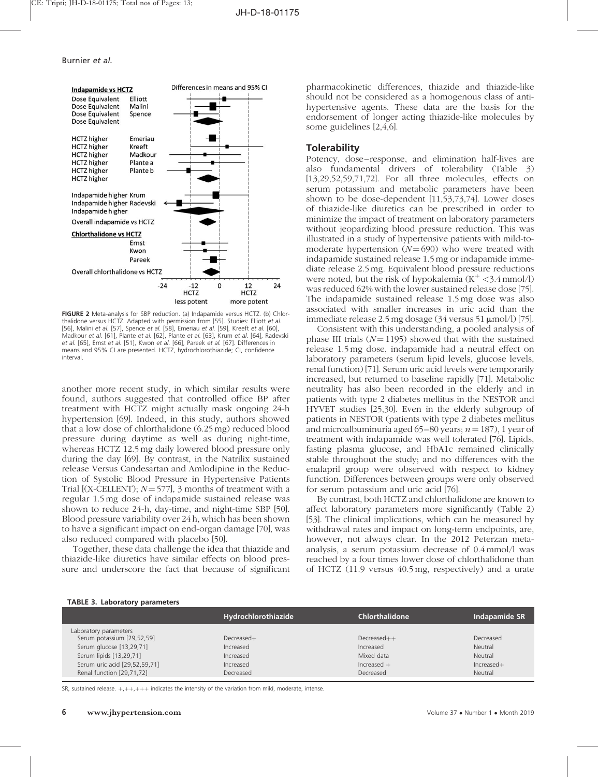

FIGURE 2 Meta-analysis for SBP reduction. (a) Indapamide versus HCTZ. (b) Chlorthalidone versus HCTZ. Adapted with permission from [\[55\].](#page-10-0) Studies: Elliott et al. [\[56\]](#page-10-0), Malini et al. [\[57\]](#page-10-0), Spence et al. [\[58\]](#page-10-0), Emeriau et al. [\[59\],](#page-10-0) Kreeft et al. [\[60\],](#page-10-0) Madkour et al. [\[61\]](#page-10-0), Plante et al. [\[62\]](#page-10-0), Plante et al. [\[63\]](#page-10-0), Krum et al. [\[64\]](#page-10-0), Radevski et al. [\[65\],](#page-10-0) Ernst et al. [\[51\]](#page-10-0), Kwon et al. [\[66\],](#page-10-0) Pareek et al. [\[67\]](#page-10-0). Differences in means and 95% CI are presented. HCTZ, hydrochlorothiazide; CI, confidence interval.

another more recent study, in which similar results were found, authors suggested that controlled office BP after treatment with HCTZ might actually mask ongoing 24-h hypertension [\[69\].](#page-11-0) Indeed, in this study, authors showed that a low dose of chlorthalidone (6.25 mg) reduced blood pressure during daytime as well as during night-time, whereas HCTZ 12.5 mg daily lowered blood pressure only during the day [\[69\]](#page-11-0). By contrast, in the Natrilix sustained release Versus Candesartan and Amlodipine in the Reduction of Systolic Blood Pressure in Hypertensive Patients Trial  $[(X-CELLENT): N = 577]$ , 3 months of treatment with a regular 1.5 mg dose of indapamide sustained release was shown to reduce 24-h, day-time, and night-time SBP [\[50\].](#page-10-0) Blood pressure variability over 24 h, which has been shown to have a significant impact on end-organ damage [\[70\],](#page-11-0) was also reduced compared with placebo [\[50\].](#page-10-0)

Together, these data challenge the idea that thiazide and thiazide-like diuretics have similar effects on blood pressure and underscore the fact that because of significant pharmacokinetic differences, thiazide and thiazide-like should not be considered as a homogenous class of antihypertensive agents. These data are the basis for the endorsement of longer acting thiazide-like molecules by some guidelines [\[2,4,6\]](#page-9-0).

#### Tolerability

Potency, dose–response, and elimination half-lives are also fundamental drivers of tolerability (Table 3) [\[13,29,52,59,71,72\].](#page-9-0) For all three molecules, effects on serum potassium and metabolic parameters have been shown to be dose-dependent [\[11,53,73,74\].](#page-9-0) Lower doses of thiazide-like diuretics can be prescribed in order to minimize the impact of treatment on laboratory parameters without jeopardizing blood pressure reduction. This was illustrated in a study of hypertensive patients with mild-tomoderate hypertension  $(N = 690)$  who were treated with indapamide sustained release 1.5 mg or indapamide immediate release 2.5 mg. Equivalent blood pressure reductions were noted, but the risk of hypokalemia  $(K^+ < 3.4 \text{ mmol/l})$ was reduced 62% with the lower sustained release dose [\[75\]](#page-11-0). The indapamide sustained release 1.5 mg dose was also associated with smaller increases in uric acid than the immediate release 2.5 mg dosage  $(34 \text{ versus } 51 \text{ \mu} \text{mol/l})$  [\[75\]](#page-11-0).

Consistent with this understanding, a pooled analysis of phase III trials  $(N = 1195)$  showed that with the sustained release 1.5 mg dose, indapamide had a neutral effect on laboratory parameters (serum lipid levels, glucose levels, renal function) [\[71\].](#page-11-0) Serum uric acid levels were temporarily increased, but returned to baseline rapidly [\[71\]](#page-11-0). Metabolic neutrality has also been recorded in the elderly and in patients with type 2 diabetes mellitus in the NESTOR and HYVET studies [\[25,30\]](#page-9-0). Even in the elderly subgroup of patients in NESTOR (patients with type 2 diabetes mellitus and microalbuminuria aged 65–80 years;  $n = 187$ ), 1 year of treatment with indapamide was well tolerated [\[76\]](#page-11-0). Lipids, fasting plasma glucose, and HbA1c remained clinically stable throughout the study; and no differences with the enalapril group were observed with respect to kidney function. Differences between groups were only observed for serum potassium and uric acid [\[76\]](#page-11-0).

By contrast, both HCTZ and chlorthalidone are known to affect laboratory parameters more significantly (Table 2) [\[53\]](#page-10-0). The clinical implications, which can be measured by withdrawal rates and impact on long-term endpoints, are, however, not always clear. In the 2012 Peterzan metaanalysis, a serum potassium decrease of 0.4 mmol/l was reached by a four times lower dose of chlorthalidone than of HCTZ (11.9 versus 40.5 mg, respectively) and a urate

#### TABLE 3. Laboratory parameters

|                               | <b>Hydrochlorothiazide</b> | Chlorthalidone | Indapamide SR |
|-------------------------------|----------------------------|----------------|---------------|
| Laboratory parameters         |                            |                |               |
| Serum potassium [29,52,59]    | $Decreased+$               | $Decreased++$  | Decreased     |
| Serum glucose [13,29,71]      | Increased                  | Increased      | Neutral       |
| Serum lipids [13,29,71]       | Increased                  | Mixed data     | Neutral       |
| Serum uric acid [29,52,59,71] | Increased                  | $Increase +$   | $Increased+$  |
| Renal function [29,71,72]     | Decreased                  | Decreased      | Neutral       |
|                               |                            |                |               |

SR, sustained release.  $+,+++,++$  indicates the intensity of the variation from mild, moderate, intense.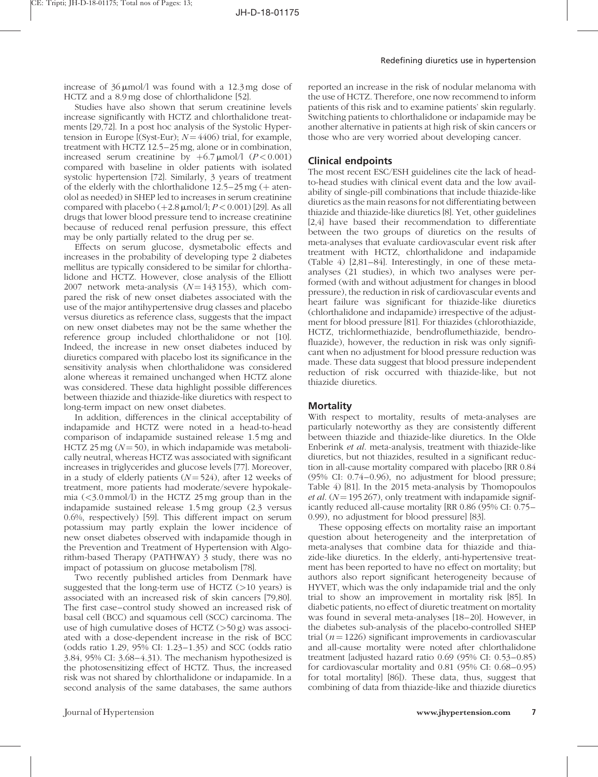increase of  $36 \mu$ mol/l was found with a 12.3 mg dose of HCTZ and a 8.9 mg dose of chlorthalidone [\[52\].](#page-10-0)

Studies have also shown that serum creatinine levels increase significantly with HCTZ and chlorthalidone treatments [\[29,72\].](#page-10-0) In a post hoc analysis of the Systolic Hypertension in Europe [(Syst-Eur);  $N = 4406$ ) trial, for example, treatment with HCTZ 12.5–25 mg, alone or in combination, increased serum creatinine by  $+6.7 \mu$ mol/l ( $P < 0.001$ ) compared with baseline in older patients with isolated systolic hypertension [\[72\]](#page-11-0). Similarly, 3 years of treatment of the elderly with the chlorthalidone  $12.5-25$  mg ( $+$  atenolol as needed) in SHEP led to increases in serum creatinine compared with placebo  $(+2.8 \,\mu\text{mol/l}; P < 0.001)$  [\[29\]](#page-10-0). As all drugs that lower blood pressure tend to increase creatinine because of reduced renal perfusion pressure, this effect may be only partially related to the drug per se.

Effects on serum glucose, dysmetabolic effects and increases in the probability of developing type 2 diabetes mellitus are typically considered to be similar for chlorthalidone and HCTZ. However, close analysis of the Elliott 2007 network meta-analysis  $(N = 143153)$ , which compared the risk of new onset diabetes associated with the use of the major antihypertensive drug classes and placebo versus diuretics as reference class, suggests that the impact on new onset diabetes may not be the same whether the reference group included chlorthalidone or not [\[10\].](#page-9-0) Indeed, the increase in new onset diabetes induced by diuretics compared with placebo lost its significance in the sensitivity analysis when chlorthalidone was considered alone whereas it remained unchanged when HCTZ alone was considered. These data highlight possible differences between thiazide and thiazide-like diuretics with respect to long-term impact on new onset diabetes.

In addition, differences in the clinical acceptability of indapamide and HCTZ were noted in a head-to-head comparison of indapamide sustained release 1.5 mg and HCTZ 25 mg ( $N = 50$ ), in which indapamide was metabolically neutral, whereas HCTZ was associated with significant increases in triglycerides and glucose levels [\[77\].](#page-11-0) Moreover, in a study of elderly patients  $(N = 524)$ , after 12 weeks of treatment, more patients had moderate/severe hypokalemia  $\left( \langle 3.0 \text{mmol/}l \rangle \right)$  in the HCTZ 25 mg group than in the indapamide sustained release 1.5 mg group (2.3 versus 0.6%, respectively) [\[59\].](#page-10-0) This different impact on serum potassium may partly explain the lower incidence of new onset diabetes observed with indapamide though in the Prevention and Treatment of Hypertension with Algorithm-based Therapy (PATHWAY) 3 study, there was no impact of potassium on glucose metabolism [\[78\].](#page-11-0)

Two recently published articles from Denmark have suggested that the long-term use of HCTZ  $(>10$  years) is associated with an increased risk of skin cancers [\[79,80\].](#page-11-0) The first case–control study showed an increased risk of basal cell (BCC) and squamous cell (SCC) carcinoma. The use of high cumulative doses of HCTZ (>50 g) was associated with a dose-dependent increase in the risk of BCC (odds ratio 1.29, 95% CI: 1.23–1.35) and SCC (odds ratio 3.84, 95% CI: 3.68–4.31). The mechanism hypothesized is the photosensitizing effect of HCTZ. Thus, the increased risk was not shared by chlorthalidone or indapamide. In a second analysis of the same databases, the same authors reported an increase in the risk of nodular melanoma with the use of HCTZ. Therefore, one now recommend to inform patients of this risk and to examine patients' skin regularly. Switching patients to chlorthalidone or indapamide may be another alternative in patients at high risk of skin cancers or those who are very worried about developing cancer.

## Clinical endpoints

The most recent ESC/ESH guidelines cite the lack of headto-head studies with clinical event data and the low availability of single-pill combinations that include thiazide-like diuretics as the main reasons for not differentiating between thiazide and thiazide-like diuretics [\[8\]](#page-9-0). Yet, other guidelines [\[2,4\]](#page-9-0) have based their recommendation to differentiate between the two groups of diuretics on the results of meta-analyses that evaluate cardiovascular event risk after treatment with HCTZ, chlorthalidone and indapamide (Table 4) [\[2,81–84\].](#page-9-0) Interestingly, in one of these metaanalyses (21 studies), in which two analyses were performed (with and without adjustment for changes in blood pressure), the reduction in risk of cardiovascular events and heart failure was significant for thiazide-like diuretics (chlorthalidone and indapamide) irrespective of the adjustment for blood pressure [\[81\]](#page-11-0). For thiazides (chlorothiazide, HCTZ, trichlormethiazide, bendroflumethiazide, bendrofluazide), however, the reduction in risk was only significant when no adjustment for blood pressure reduction was made. These data suggest that blood pressure independent reduction of risk occurred with thiazide-like, but not thiazide diuretics.

#### **Mortality**

With respect to mortality, results of meta-analyses are particularly noteworthy as they are consistently different between thiazide and thiazide-like diuretics. In the Olde Enberink et al. meta-analysis, treatment with thiazide-like diuretics, but not thiazides, resulted in a significant reduction in all-cause mortality compared with placebo [RR 0.84 (95% CI: 0.74–0.96), no adjustment for blood pressure; Table 4) [\[81\].](#page-11-0) In the 2015 meta-analysis by Thomopoulos et al.  $(N = 195\,267)$ , only treatment with indapamide significantly reduced all-cause mortality [RR 0.86 (95% CI: 0.75– 0.99), no adjustment for blood pressure] [\[83\]](#page-11-0).

These opposing effects on mortality raise an important question about heterogeneity and the interpretation of meta-analyses that combine data for thiazide and thiazide-like diuretics. In the elderly, anti-hypertensive treatment has been reported to have no effect on mortality; but authors also report significant heterogeneity because of HYVET, which was the only indapamide trial and the only trial to show an improvement in mortality risk [\[85\]](#page-11-0). In diabetic patients, no effect of diuretic treatment on mortality was found in several meta-analyses [\[18–20\].](#page-9-0) However, in the diabetes sub-analysis of the placebo-controlled SHEP trial ( $n = 1226$ ) significant improvements in cardiovascular and all-cause mortality were noted after chlorthalidone treatment [adjusted hazard ratio 0.69 (95% CI: 0.53–0.85) for cardiovascular mortality and 0.81 (95% CI: 0.68–0.95) for total mortality] [\[86\]](#page-11-0)). These data, thus, suggest that combining of data from thiazide-like and thiazide diuretics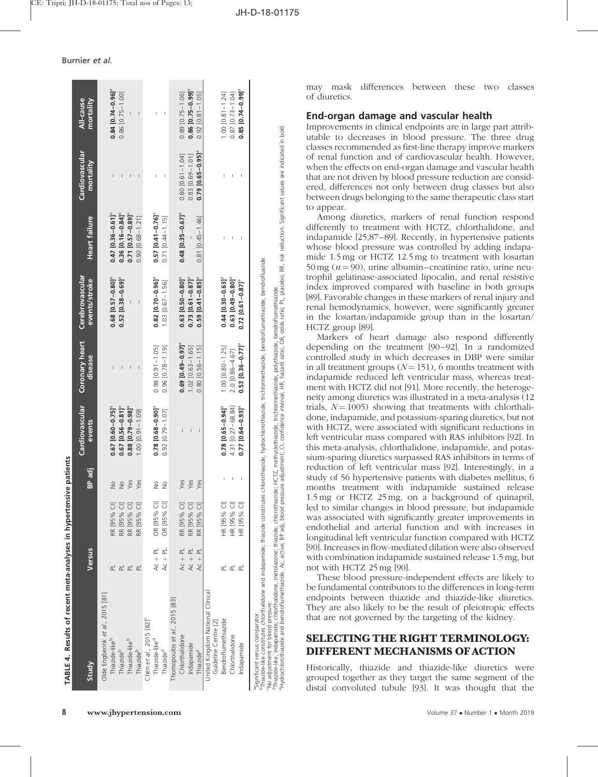| TABLE 4. Results of recent meta-analyses in hypertensive patients                                                                                                                                                                  |                         |                                                 |                                                                                                                                                                                                                                                                                                                                                                                  |                                              |                                     |                                     |                                                |                                              |                                 |
|------------------------------------------------------------------------------------------------------------------------------------------------------------------------------------------------------------------------------------|-------------------------|-------------------------------------------------|----------------------------------------------------------------------------------------------------------------------------------------------------------------------------------------------------------------------------------------------------------------------------------------------------------------------------------------------------------------------------------|----------------------------------------------|-------------------------------------|-------------------------------------|------------------------------------------------|----------------------------------------------|---------------------------------|
|                                                                                                                                                                                                                                    |                         |                                                 |                                                                                                                                                                                                                                                                                                                                                                                  | Cardiovascular                               | Coronary heart                      | Cerebrovascular                     |                                                | Cardiovascular                               | All-cause                       |
| Study                                                                                                                                                                                                                              | Versus                  |                                                 | BP adj                                                                                                                                                                                                                                                                                                                                                                           | events                                       | disease                             | events/stroke                       | <b>Heart failure</b>                           | mortality                                    | mortality                       |
| Olde Engberink et al., 2015 [81]                                                                                                                                                                                                   |                         |                                                 |                                                                                                                                                                                                                                                                                                                                                                                  |                                              |                                     |                                     |                                                |                                              |                                 |
| Thiazide-like <sup>b</sup>                                                                                                                                                                                                         |                         | RR [95% CI]                                     | $\frac{1}{2}$                                                                                                                                                                                                                                                                                                                                                                    | $0.67$ [0.60-0.75] <sup><math>a</math></sup> |                                     | $0.68$ [0.57 - 0.80] <sup>a</sup>   | $0.47$ [0.36-0.61] <sup>a</sup>                |                                              | $0.84$ [0.74-0.96] <sup>a</sup> |
| Thiazide <sup>b</sup>                                                                                                                                                                                                              | 군                       | 〒<br>RR [95%                                    | $\frac{1}{2}$                                                                                                                                                                                                                                                                                                                                                                    | $0.67$ [0.56-0.81] <sup>2</sup>              |                                     | $0.52$ [0.38-0.69] <sup>ª</sup>     | $0.36$ [0.16-0.84] <sup>ª</sup>                |                                              | $0.86$ $[0.75 - 1.00]$          |
| Thiazide-like <sup>b</sup>                                                                                                                                                                                                         | $\overline{\mathtt{r}}$ | RR [95% CI]                                     | Yes                                                                                                                                                                                                                                                                                                                                                                              | $0.88$ [0.79 - 0.98] <sup>2</sup>            |                                     |                                     | $0.71$ [0.57 - 0.89] <sup><math>a</math></sup> |                                              |                                 |
| Thiazide <sup>b</sup>                                                                                                                                                                                                              | ᇍ                       | RR [95% CI]                                     | Yes                                                                                                                                                                                                                                                                                                                                                                              | $1.00$ $[0.91 - 1.09]$                       |                                     |                                     | $0.90$ [ $0.68 - 1.21$ ]                       |                                              | Ï                               |
| Chen et al., 2015 [82] <sup>c</sup>                                                                                                                                                                                                |                         |                                                 |                                                                                                                                                                                                                                                                                                                                                                                  |                                              |                                     |                                     |                                                |                                              |                                 |
| Thiazide-like <sup>d</sup>                                                                                                                                                                                                         | Ac $+$ PL               | OR [95% CI]                                     | $\frac{1}{2}$                                                                                                                                                                                                                                                                                                                                                                    | $0.78$ [0.68-0.90] <sup>a</sup>              | $0.98$ [0.91-1.05]                  | $0.82$ [0.70-0.96] <sup>ª</sup>     | $0.57$ [0.41-0.76] <sup>a</sup>                |                                              |                                 |
| Thiazide <sup>d</sup>                                                                                                                                                                                                              | $AC + PL$               | OR [95% CI]                                     | ž                                                                                                                                                                                                                                                                                                                                                                                | $0.92$ [0.79-1.07]                           | $0.96$ [0.78-1.19]                  | $1.03 [0.67 - 1.56]$                | $0.71$ $[0.44 - 1.15]$                         |                                              | $\begin{array}{c} \end{array}$  |
| Thomopoulos et al., 2015 [83]                                                                                                                                                                                                      |                         |                                                 |                                                                                                                                                                                                                                                                                                                                                                                  |                                              |                                     |                                     |                                                |                                              |                                 |
| Chlorthalidone                                                                                                                                                                                                                     | $AC + PL$               | RR [95% CI]                                     | Yes                                                                                                                                                                                                                                                                                                                                                                              |                                              | $0.69$ $[0.49 - 0.97]$ <sup>a</sup> | $0.63$ [0.50-0.80] <sup>a</sup>     | $0.48$ [0.35-0.67] <sup>a</sup>                | $0.80$ [0.61-1.04]                           | $0.89$ $[0.75 - 1.06]$          |
| Indapamide                                                                                                                                                                                                                         | Ac + $PL$               | RR [95% CI]                                     | Yes                                                                                                                                                                                                                                                                                                                                                                              |                                              | $1.02$ [0.63-1.65]                  | $0.73$ [0.61-0.87] <sup>a</sup>     |                                                | $0.83$ [0.69-1.01]                           | $0.86$ [0.75-0.99] <sup>a</sup> |
| Thiazidee                                                                                                                                                                                                                          | Ac + $PL$               | RR [95% CI]                                     | Yes                                                                                                                                                                                                                                                                                                                                                                              |                                              | $0.80$ [0.56-1.15]                  | $0.59$ $[0.41 - 0.85]$ <sup>a</sup> | $0.81$ [0.45-1.46]                             | $0.79$ [0.65-0.95] <sup><math>a</math></sup> | $0.92$ [0.81-1.05]              |
| United Kingdom National Clinical<br>Guideline Centre [2]                                                                                                                                                                           |                         |                                                 |                                                                                                                                                                                                                                                                                                                                                                                  |                                              |                                     |                                     |                                                |                                              |                                 |
| Bendroflumethiazide                                                                                                                                                                                                                |                         | HR [95% CI]                                     | $\begin{array}{c} \rule{0pt}{2.5ex} \rule{0pt}{2.5ex} \rule{0pt}{2.5ex} \rule{0pt}{2.5ex} \rule{0pt}{2.5ex} \rule{0pt}{2.5ex} \rule{0pt}{2.5ex} \rule{0pt}{2.5ex} \rule{0pt}{2.5ex} \rule{0pt}{2.5ex} \rule{0pt}{2.5ex} \rule{0pt}{2.5ex} \rule{0pt}{2.5ex} \rule{0pt}{2.5ex} \rule{0pt}{2.5ex} \rule{0pt}{2.5ex} \rule{0pt}{2.5ex} \rule{0pt}{2.5ex} \rule{0pt}{2.5ex} \rule{0$ | $0.78$ [0.65-0.94] <sup>a</sup>              | 1.00 $[0.80 - 1.25]$                | $0.44$ [0.30-0.63] <sup>ª</sup>     | $\overline{1}$                                 |                                              | $1.00$ $[0.81 - 1.24]$          |
| Chlorthalidone                                                                                                                                                                                                                     | 군                       | HR [95% CI]                                     | I                                                                                                                                                                                                                                                                                                                                                                                | 4.31 [0.27-68.84]                            | $2.0$ [0.86-4.67]                   | $0.63$ [0.49-0.80] <sup>ª</sup>     |                                                |                                              | $0.87$ [0.73-1.04]              |
| Indapamide                                                                                                                                                                                                                         |                         | $\overline{\overline{\overline{C}}}$<br>HR [95% | $\overline{\phantom{a}}$                                                                                                                                                                                                                                                                                                                                                         | $0.77$ [0.64-0.93] <sup><math>a</math></sup> | $0.53$ [0.36-0.77] <sup>a</sup>     | $0.72$ [0.61-0.87] <sup>a</sup>     |                                                |                                              | $0.85$ [0.74-0.99] <sup>a</sup> |
| Thiazide-like constitutes chlorthalidone and indapamide; thiazide constitutes chlorothiazide, hydrochlorothiazide, trichlormethiazide, bendroflumethiazide, bendroflumethiazide, bendrofluazide.<br>Significant versus comparator. |                         |                                                 |                                                                                                                                                                                                                                                                                                                                                                                  |                                              |                                     |                                     |                                                |                                              |                                 |
| Thiazide-like, indapamide, chlorthalidone, metolazone; thiazide, chlorothiazide; HCTZ, methyclothiazide, trichlormethiazide, polythiazide, bendroflumethiazide.<br>No adjustment for blood pressure.                               |                         |                                                 |                                                                                                                                                                                                                                                                                                                                                                                  |                                              |                                     |                                     |                                                |                                              |                                 |
| Hydrochlorothiazide and bendroflumethiazide. Ac, active, BP adj. blood pressure adjustment; CI, confidence interval, HR, hazard ratio; OR, odds ratio; PL, placebo; RR, risk reduction. Significant values are indicated in bo     |                         |                                                 |                                                                                                                                                                                                                                                                                                                                                                                  |                                              |                                     |                                     |                                                |                                              |                                 |

may mask differences between these two classes of diuretics.

#### End-organ damage and vascular health

Improvements in clinical endpoints are in large part attributable to decreases in blood pressure. The three drug classes recommended as first-line therapy improve markers of renal function and of cardiovascular health. However, when the effects on end-organ damage and vascular health that are not driven by blood pressure reduction are considered, differences not only between drug classes but also between drugs belonging to the same therapeutic class start to appear.

Among diuretics, markers of renal function respond differently to treatment with HCTZ, chlorthalidone, and indapamide [\[25,87–89\]](#page-9-0). Recently, in hypertensive patients whose blood pressure was controlled by adding indapamide 1.5 mg or HCTZ 12.5 mg to treatment with losartan 50 mg ( $n = 90$ ), urine albumin–creatinine ratio, urine neutrophil gelatinase-associated lipocalin, and renal resistive index improved compared with baseline in both groups [\[89\]](#page-11-0). Favorable changes in these markers of renal injury and renal hemodynamics, however, were significantly greater in the losartan/indapamide group than in the losartan/ HCTZ group [\[89\].](#page-11-0)

Markers of heart damage also respond differently depending on the treatment [\[90–92\].](#page-11-0) In a randomized controlled study in which decreases in DBP were similar in all treatment groups  $(N = 151)$ , 6 months treatment with indapamide reduced left ventricular mass, whereas treatment with HCTZ did not [\[91\]](#page-11-0). More recently, the heterogeneity among diuretics was illustrated in a meta-analysis (12 trials,  $N = 1005$ ) showing that treatments with chlorthalidone, indapamide, and potassium-sparing diuretics, but not with HCTZ, were associated with significant reductions in left ventricular mass compared with RAS inhibitors [\[92\]](#page-11-0). In this meta-analysis, chlorthalidone, indapamide, and potassium-sparing diuretics surpassed RAS inhibitors in terms of reduction of left ventricular mass [\[92\].](#page-11-0) Interestingly, in a study of 56 hypertensive patients with diabetes mellitus, 6 months treatment with indapamide sustained release 1.5 mg or HCTZ 25 mg, on a background of quinapril, led to similar changes in blood pressure, but indapamide was associated with significantly greater improvements in endothelial and arterial function and with increases in longitudinal left ventricular function compared with HCTZ [\[90\]](#page-11-0). Increases in flow-mediated dilation were also observed with combination indapamide sustained release 1.5 mg, but not with HCTZ 25 mg [\[90\].](#page-11-0)

These blood pressure-independent effects are likely to be fundamental contributors to the differences in long-term endpoints between thiazide and thiazide-like diuretics. They are also likely to be the result of pleiotropic effects that are not governed by the targeting of the kidney.

## SELECTING THE RIGHT TERMINOLOGY: DIFFERENT MECHANISMS OF ACTION

Historically, thiazide and thiazide-like diuretics were grouped together as they target the same segment of the distal convoluted tubule [93]. It was thought that the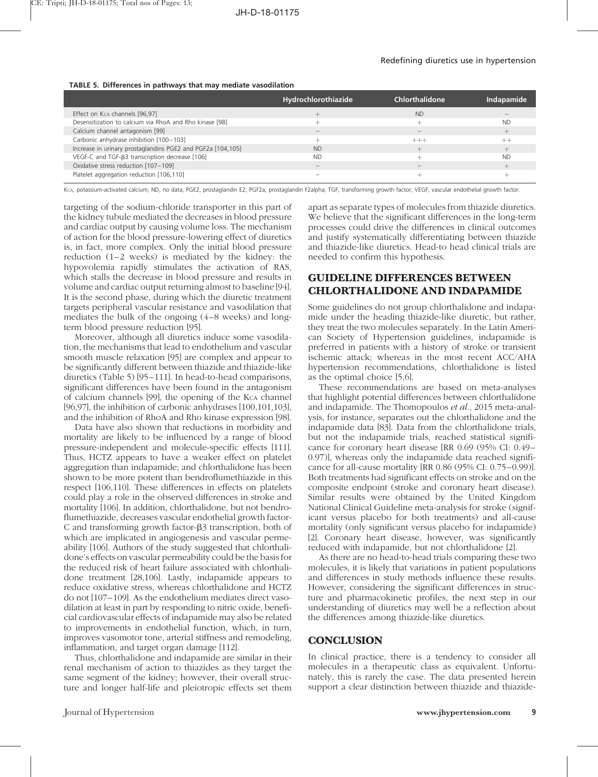#### TABLE 5. Differences in pathways that may mediate vasodilation

|                                                             | Hydrochlorothiazide | Chlorthalidone | Indapamide |
|-------------------------------------------------------------|---------------------|----------------|------------|
| Effect on Kca channels [96,97]                              |                     | ND.            |            |
| Desensitization to calcium via RhoA and Rho kinase [98]     |                     |                | <b>ND</b>  |
| Calcium channel antagonism [99]                             |                     |                |            |
| Carbonic anhydrase inhibition [100-103]                     |                     | $^{+++}$       |            |
| Increase in urinary prostaglandins PGE2 and PGF2a [104,105] | ND.                 |                |            |
| VEGF-C and TGF-ß3 transcription decrease [106]              | <b>ND</b>           |                | <b>ND</b>  |
| Oxidative stress reduction [107-109]                        |                     |                |            |
| Platelet aggregation reduction [106,110]                    |                     |                |            |

KcA, potassium-activated calcium; ND, no data; PGE2, prostaglandin E2; PGF2a, prostaglandin F2alpha; TGF, transforming growth factor; VEGF, vascular endothelial growth factor.

targeting of the sodium-chloride transporter in this part of the kidney tubule mediated the decreases in blood pressure and cardiac output by causing volume loss. The mechanism of action for the blood pressure-lowering effect of diuretics is, in fact, more complex. Only the initial blood pressure reduction (1–2 weeks) is mediated by the kidney: the hypovolemia rapidly stimulates the activation of RAS, which stalls the decrease in blood pressure and results in volume and cardiac output returning almost to baseline [\[94\].](#page-11-0) It is the second phase, during which the diuretic treatment targets peripheral vascular resistance and vasodilation that mediates the bulk of the ongoing (4–8 weeks) and longterm blood pressure reduction [\[95\]](#page-11-0).

Moreover, although all diuretics induce some vasodilation, the mechanisms that lead to endothelium and vascular smooth muscle relaxation [\[95\]](#page-11-0) are complex and appear to be significantly different between thiazide and thiazide-like diuretics (Table 5) [\[95–111\]](#page-11-0). In head-to-head comparisons, significant differences have been found in the antagonism of calcium channels [\[99\],](#page-11-0) the opening of the KCA channel [\[96,97\]](#page-11-0), the inhibition of carbonic anhydrases [\[100,101,103\],](#page-11-0) and the inhibition of RhoA and Rho kinase expression [\[98\].](#page-11-0)

Data have also shown that reductions in morbidity and mortality are likely to be influenced by a range of blood pressure-independent and molecule-specific effects [\[111\].](#page-12-0) Thus, HCTZ appears to have a weaker effect on platelet aggregation than indapamide; and chlorthalidone has been shown to be more potent than bendroflumethiazide in this respect [\[106,110\].](#page-11-0) These differences in effects on platelets could play a role in the observed differences in stroke and mortality [\[106\]](#page-11-0). In addition, chlorthalidone, but not bendroflumethiazide, decreases vascular endothelial growth factor-C and transforming growth factor- $\beta$ 3 transcription, both of which are implicated in angiogenesis and vascular permeability [\[106\]](#page-11-0). Authors of the study suggested that chlorthalidone's effects on vascular permeability could be the basis for the reduced risk of heart failure associated with chlorthalidone treatment [\[28,106\]](#page-9-0). Lastly, indapamide appears to reduce oxidative stress, whereas chlorthalidone and HCTZ do not [\[107–109\].](#page-11-0) As the endothelium mediates direct vasodilation at least in part by responding to nitric oxide, beneficial cardiovascular effects of indapamide may also be related to improvements in endothelial function, which, in turn, improves vasomotor tone, arterial stiffness and remodeling, inflammation, and target organ damage [\[112\].](#page-12-0)

Thus, chlorthalidone and indapamide are similar in their renal mechanism of action to thiazides as they target the same segment of the kidney; however, their overall structure and longer half-life and pleiotropic effects set them apart as separate types of molecules from thiazide diuretics. We believe that the significant differences in the long-term processes could drive the differences in clinical outcomes and justify systematically differentiating between thiazide and thiazide-like diuretics. Head-to head clinical trials are needed to confirm this hypothesis.

## GUIDELINE DIFFERENCES BETWEEN CHLORTHALIDONE AND INDAPAMIDE

Some guidelines do not group chlorthalidone and indapamide under the heading thiazide-like diuretic, but rather, they treat the two molecules separately. In the Latin American Society of Hypertension guidelines, indapamide is preferred in patients with a history of stroke or transient ischemic attack; whereas in the most recent ACC/AHA hypertension recommendations, chlorthalidone is listed as the optimal choice [\[5,6\].](#page-9-0)

These recommendations are based on meta-analyses that highlight potential differences between chlorthalidone and indapamide. The Thomopoulos et al., 2015 meta-analysis, for instance, separates out the chlorthalidone and the indapamide data [\[83\].](#page-11-0) Data from the chlorthalidone trials, but not the indapamide trials, reached statistical significance for coronary heart disease [RR 0.69 (95% CI: 0.49– 0.97)], whereas only the indapamide data reached significance for all-cause mortality [RR 0.86 (95% CI: 0.75–0.99)]. Both treatments had significant effects on stroke and on the composite endpoint (stroke and coronary heart disease). Similar results were obtained by the United Kingdom National Clinical Guideline meta-analysis for stroke (significant versus placebo for both treatments) and all-cause mortality (only significant versus placebo for indapamide) [\[2\]](#page-9-0). Coronary heart disease, however, was significantly reduced with indapamide, but not chlorthalidone [\[2\]](#page-9-0).

As there are no head-to-head trials comparing these two molecules, it is likely that variations in patient populations and differences in study methods influence these results. However, considering the significant differences in structure and pharmacokinetic profiles, the next step in our understanding of diuretics may well be a reflection about the differences among thiazide-like diuretics.

## **CONCLUSION**

In clinical practice, there is a tendency to consider all molecules in a therapeutic class as equivalent. Unfortunately, this is rarely the case. The data presented herein support a clear distinction between thiazide and thiazide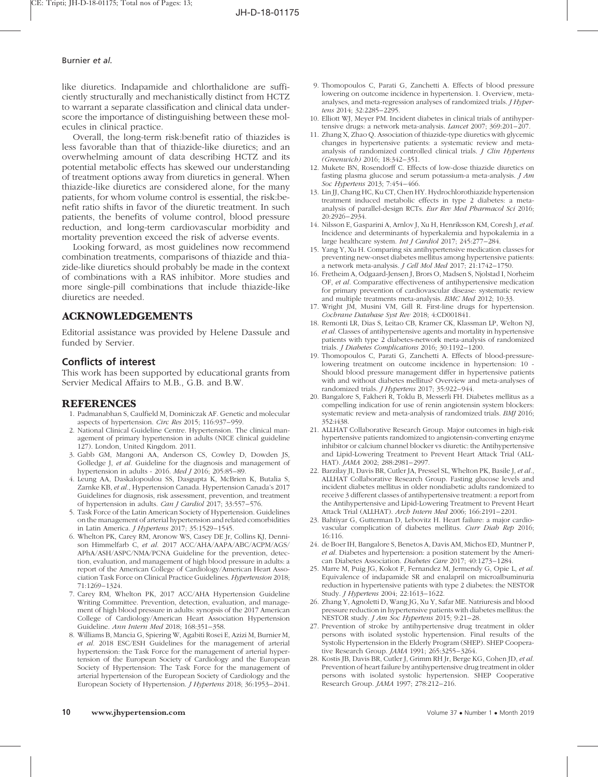<span id="page-9-0"></span>like diuretics. Indapamide and chlorthalidone are sufficiently structurally and mechanistically distinct from HCTZ to warrant a separate classification and clinical data underscore the importance of distinguishing between these molecules in clinical practice.

Overall, the long-term risk:benefit ratio of thiazides is less favorable than that of thiazide-like diuretics; and an overwhelming amount of data describing HCTZ and its potential metabolic effects has skewed our understanding of treatment options away from diuretics in general. When thiazide-like diuretics are considered alone, for the many patients, for whom volume control is essential, the risk:benefit ratio shifts in favor of the diuretic treatment. In such patients, the benefits of volume control, blood pressure reduction, and long-term cardiovascular morbidity and mortality prevention exceed the risk of adverse events.

Looking forward, as most guidelines now recommend combination treatments, comparisons of thiazide and thiazide-like diuretics should probably be made in the context of combinations with a RAS inhibitor. More studies and more single-pill combinations that include thiazide-like diuretics are needed.

## ACKNOWLEDGEMENTS

Editorial assistance was provided by Helene Dassule and funded by Servier.

## Conflicts of interest

This work has been supported by educational grants from Servier Medical Affairs to M.B., G.B. and B.W.

#### REFERENCES

- 1. Padmanabhan S, Caulfield M, Dominiczak AF. Genetic and molecular aspects of hypertension. Circ Res 2015; 116:937–959.
- 2. National Clinical Guideline Centre. Hypertension. The clinical management of primary hypertension in adults (NICE clinical guideline 127). London, United Kingdom. 2011.
- 3. Gabb GM, Mangoni AA, Anderson CS, Cowley D, Dowden JS, Golledge J, et al. Guideline for the diagnosis and management of hypertension in adults - 2016. Med J 2016; 205:85–89.
- 4. Leung AA, Daskalopoulou SS, Dasgupta K, McBrien K, Butalia S, Zarnke KB, et al., Hypertension Canada. Hypertension Canada's 2017 Guidelines for diagnosis, risk assessment, prevention, and treatment of hypertension in adults. Can J Cardiol 2017; 33:557–576.
- 5. Task Force of the Latin American Society of Hypertension. Guidelines on the management of arterial hypertension and related comorbidities in Latin America. *J Hypertens* 2017; 35:1529-1545.
- 6. Whelton PK, Carey RM, Aronow WS, Casey DE Jr, Collins KJ, Dennison Himmelfarb C, et al. 2017 ACC/AHA/AAPA/ABC/ACPM/AGS/ APhA/ASH/ASPC/NMA/PCNA Guideline for the prevention, detection, evaluation, and management of high blood pressure in adults: a report of the American College of Cardiology/American Heart Association Task Force on Clinical Practice Guidelines. Hypertension 2018; 71:1269–1324.
- 7. Carey RM, Whelton PK, 2017 ACC/AHA Hypertension Guideline Writing Committee. Prevention, detection, evaluation, and management of high blood pressure in adults: synopsis of the 2017 American College of Cardiology/American Heart Association Hypertension Guideline. Ann Intern Med 2018; 168:351–358.
- 8. Williams B, Mancia G, Spiering W, Agabiti Rosei E, Azizi M, Burnier M, et al. 2018 ESC/ESH Guidelines for the management of arterial hypertension: the Task Force for the management of arterial hypertension of the European Society of Cardiology and the European Society of Hypertension: The Task Force for the management of arterial hypertension of the European Society of Cardiology and the European Society of Hypertension. J Hypertens 2018; 36:1953–2041.
- 9. Thomopoulos C, Parati G, Zanchetti A. Effects of blood pressure lowering on outcome incidence in hypertension. 1. Overview, metaanalyses, and meta-regression analyses of randomized trials. *J Hyper*tens 2014; 32:2285–2295.
- 10. Elliott WJ, Meyer PM. Incident diabetes in clinical trials of antihypertensive drugs: a network meta-analysis. Lancet 2007; 369:201–207.
- 11. Zhang X, Zhao Q. Association of thiazide-type diuretics with glycemic changes in hypertensive patients: a systematic review and metaanalysis of randomized controlled clinical trials. J Clin Hypertens (Greenwich) 2016; 18:342–351.
- 12. Mukete BN, Rosendorff C. Effects of low-dose thiazide diuretics on fasting plasma glucose and serum potassium-a meta-analysis. J Am Soc Hypertens 2013; 7:454–466.
- 13. Lin JJ, Chang HC, Ku CT, Chen HY. Hydrochlorothiazide hypertension treatment induced metabolic effects in type 2 diabetes: a metaanalysis of parallel-design RCTs. Eur Rev Med Pharmacol Sci 2016; 20:2926–2934.
- 14. Nilsson E, Gasparini A, Arnlov J, Xu H, Henriksson KM, Coresh J, et al. Incidence and determinants of hyperkalemia and hypokalemia in a large healthcare system. Int J Cardiol 2017; 245:277–284.
- 15. Yang Y, Xu H. Comparing six antihypertensive medication classes for preventing new-onset diabetes mellitus among hypertensive patients: a network meta-analysis. J Cell Mol Med 2017; 21:1742-1750.
- 16. Fretheim A, Odgaard-Jensen J, Brors O, Madsen S, Njolstad I, Norheim OF, et al. Comparative effectiveness of antihypertensive medication for primary prevention of cardiovascular disease: systematic review and multiple treatments meta-analysis. BMC Med 2012; 10:33.
- 17. Wright JM, Musini VM, Gill R. First-line drugs for hypertension. Cochrane Database Syst Rev 2018; 4:CD001841.
- 18. Remonti LR, Dias S, Leitao CB, Kramer CK, Klassman LP, Welton NJ, et al. Classes of antihypertensive agents and mortality in hypertensive patients with type 2 diabetes-network meta-analysis of randomized trials. J Diabetes Complications 2016; 30:1192–1200.
- 19. Thomopoulos C, Parati G, Zanchetti A. Effects of blood-pressurelowering treatment on outcome incidence in hypertension: 10 - Should blood pressure management differ in hypertensive patients with and without diabetes mellitus? Overview and meta-analyses of randomized trials. *J Hypertens* 2017; 35:922-944.
- 20. Bangalore S, Fakheri R, Toklu B, Messerli FH. Diabetes mellitus as a compelling indication for use of renin angiotensin system blockers: systematic review and meta-analysis of randomized trials. BMJ 2016; 352:i438.
- 21. ALLHAT Collaborative Research Group. Major outcomes in high-risk hypertensive patients randomized to angiotensin-converting enzyme inhibitor or calcium channel blocker vs diuretic: the Antihypertensive and Lipid-Lowering Treatment to Prevent Heart Attack Trial (ALL-HAT). JAMA 2002; 288:2981–2997.
- 22. Barzilay JI, Davis BR, Cutler JA, Pressel SL, Whelton PK, Basile J, et al., ALLHAT Collaborative Research Group. Fasting glucose levels and incident diabetes mellitus in older nondiabetic adults randomized to receive 3 different classes of antihypertensive treatment: a report from the Antihypertensive and Lipid-Lowering Treatment to Prevent Heart Attack Trial (ALLHAT). Arch Intern Med 2006; 166:2191–2201.
- 23. Bahtiyar G, Gutterman D, Lebovitz H. Heart failure: a major cardiovascular complication of diabetes mellitus. Curr Diab Rep 2016; 16:116.
- 24. de Boer IH, Bangalore S, Benetos A, Davis AM, Michos ED, Muntner P, et al. Diabetes and hypertension: a position statement by the American Diabetes Association. Diabetes Care 2017; 40:1273–1284.
- 25. Marre M, Puig JG, Kokot F, Fernandez M, Jermendy G, Opie L, et al. Equivalence of indapamide SR and enalapril on microalbuminuria reduction in hypertensive patients with type 2 diabetes: the NESTOR Study. J Hypertens 2004; 22:1613–1622.
- 26. Zhang Y, Agnoletti D, Wang JG, Xu Y, Safar ME. Natriuresis and blood pressure reduction in hypertensive patients with diabetes mellitus: the NESTOR study. *J Am Soc Hypertens* 2015; 9:21-28.
- 27. Prevention of stroke by antihypertensive drug treatment in older persons with isolated systolic hypertension. Final results of the Systolic Hypertension in the Elderly Program (SHEP). SHEP Cooperative Research Group. JAMA 1991; 265:3255–3264.
- 28. Kostis JB, Davis BR, Cutler J, Grimm RH Jr, Berge KG, Cohen JD, et al. Prevention of heart failure by antihypertensive drug treatment in older persons with isolated systolic hypertension. SHEP Cooperative Research Group. JAMA 1997; 278:212–216.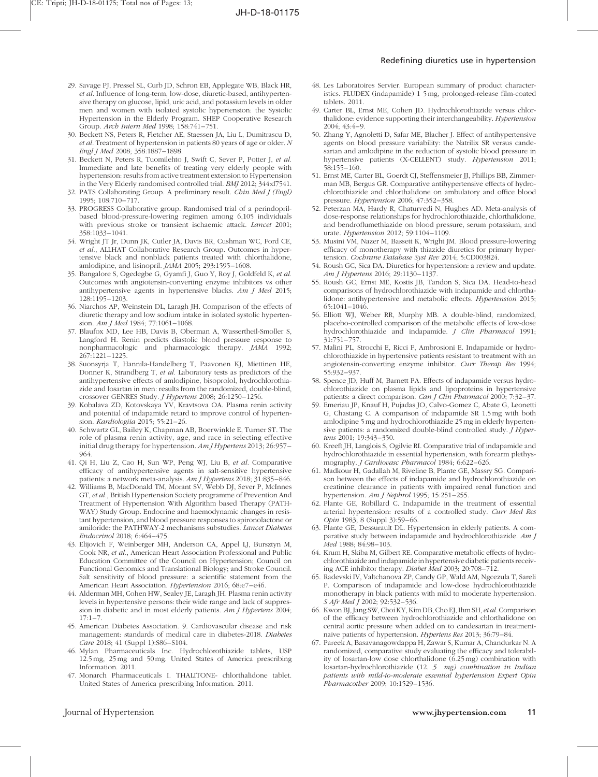- <span id="page-10-0"></span>29. Savage PJ, Pressel SL, Curb JD, Schron EB, Applegate WB, Black HR, et al. Influence of long-term, low-dose, diuretic-based, antihypertensive therapy on glucose, lipid, uric acid, and potassium levels in older men and women with isolated systolic hypertension: the Systolic Hypertension in the Elderly Program. SHEP Cooperative Research Group. Arch Intern Med 1998; 158:741–751.
- 30. Beckett NS, Peters R, Fletcher AE, Staessen JA, Liu L, Dumitrascu D, et al. Treatment of hypertension in patients 80 years of age or older. N Engl J Med 2008; 358:1887–1898.
- 31. Beckett N, Peters R, Tuomilehto J, Swift C, Sever P, Potter J, et al. Immediate and late benefits of treating very elderly people with hypertension: results from active treatment extension to Hypertension in the Very Elderly randomised controlled trial. BMJ 2012; 344:d7541.
- 32. PATS Collaborating Group. A preliminary result. Chin Med J (Engl) 1995; 108:710–717.
- 33. PROGRESS Collaborative group. Randomised trial of a perindoprilbased blood-pressure-lowering regimen among 6,105 individuals with previous stroke or transient ischaemic attack. Lancet 2001; 358:1033–1041.
- 34. Wright JT Jr, Dunn JK, Cutler JA, Davis BR, Cushman WC, Ford CE, et al., ALLHAT Collaborative Research Group. Outcomes in hypertensive black and nonblack patients treated with chlorthalidone, amlodipine, and lisinopril. JAMA 2005; 293:1595–1608.
- 35. Bangalore S, Ogedegbe G, Gyamfi J, Guo Y, Roy J, Goldfeld K, et al. Outcomes with angiotensin-converting enzyme inhibitors vs other antihypertensive agents in hypertensive blacks. Am J Med 2015; 128:1195–1203.
- 36. Niarchos AP, Weinstein DL, Laragh JH. Comparison of the effects of diuretic therapy and low sodium intake in isolated systolic hypertension. Am J Med 1984; 77:1061–1068.
- 37. Blaufox MD, Lee HB, Davis B, Oberman A, Wassertheil-Smoller S, Langford H. Renin predicts diastolic blood pressure response to nonpharmacologic and pharmacologic therapy. JAMA 1992; 267:1221–1225.
- 38. Suonsyrja T, Hannila-Handelberg T, Paavonen KJ, Miettinen HE, Donner K, Strandberg T, et al. Laboratory tests as predictors of the antihypertensive effects of amlodipine, bisoprolol, hydrochlorothiazide and losartan in men: results from the randomized, double-blind, crossover GENRES Study. J Hypertens 2008; 26:1250–1256.
- 39. Kobalava ZD, Kotovskaya YV, Kravtsova OA. Plasma renin activity and potential of indapamide retard to improve control of hypertension. Kardiologiia 2015; 55:21–26.
- 40. Schwartz GL, Bailey K, Chapman AB, Boerwinkle E, Turner ST. The role of plasma renin activity, age, and race in selecting effective initial drug therapy for hypertension. Am J Hypertens 2013; 26:957-964.
- 41. Qi H, Liu Z, Cao H, Sun WP, Peng WJ, Liu B, et al. Comparative efficacy of antihypertensive agents in salt-sensitive hypertensive patients: a network meta-analysis. Am J Hypertens 2018; 31:835–846.
- 42. Williams B, MacDonald TM, Morant SV, Webb DJ, Sever P, McInnes GT, et al., British Hypertension Society programme of Prevention And Treatment of Hypertension With Algorithm based Therapy (PATH-WAY) Study Group. Endocrine and haemodynamic changes in resistant hypertension, and blood pressure responses to spironolactone or amiloride: the PATHWAY-2 mechanisms substudies. Lancet Diabetes Endocrinol 2018; 6:464–475.
- 43. Elijovich F, Weinberger MH, Anderson CA, Appel LJ, Bursztyn M, Cook NR, et al., American Heart Association Professional and Public Education Committee of the Council on Hypertension; Council on Functional Genomics and Translational Biology; and Stroke Council. Salt sensitivity of blood pressure: a scientific statement from the American Heart Association. Hypertension 2016; 68:e7–e46.
- 44. Alderman MH, Cohen HW, Sealey JE, Laragh JH. Plasma renin activity levels in hypertensive persons: their wide range and lack of suppression in diabetic and in most elderly patients. Am J Hypertens 2004;  $17.1 - 7$
- 45. American Diabetes Association. 9. Cardiovascular disease and risk management: standards of medical care in diabetes-2018. Diabetes Care 2018; 41 (Suppl 1):S86–S104.
- 46. Mylan Pharmaceuticals Inc. Hydrochlorothiazide tablets, USP 12.5 mg, 25 mg and 50 mg. United States of America prescribing Information. 2011.
- 47. Monarch Pharmaceuticals I. THALITONE- chlorthalidone tablet. United States of America prescribing Information. 2011.
- 48. Les Laboratoires Servier. European summary of product characteristics. FLUDEX (indapamide) 1 5 mg, prolonged-release film-coated tablets. 2011.
- 49. Carter BL, Ernst ME, Cohen JD. Hydrochlorothiazide versus chlorthalidone: evidence supporting their interchangeability. Hypertension 2004; 43:4–9.
- 50. Zhang Y, Agnoletti D, Safar ME, Blacher J. Effect of antihypertensive agents on blood pressure variability: the Natrilix SR versus candesartan and amlodipine in the reduction of systolic blood pressure in hypertensive patients (X-CELLENT) study. Hypertension 2011; 58:155–160.
- 51. Ernst ME, Carter BL, Goerdt CJ, Steffensmeier JJ, Phillips BB, Zimmerman MB, Bergus GR. Comparative antihypertensive effects of hydrochlorothiazide and chlorthalidone on ambulatory and office blood pressure. Hypertension 2006; 47:352–358.
- 52. Peterzan MA, Hardy R, Chaturvedi N, Hughes AD. Meta-analysis of dose-response relationships for hydrochlorothiazide, chlorthalidone, and bendroflumethiazide on blood pressure, serum potassium, and urate. Hypertension 2012; 59:1104–1109.
- 53. Musini VM, Nazer M, Bassett K, Wright JM. Blood pressure-lowering efficacy of monotherapy with thiazide diuretics for primary hypertension. Cochrane Database Syst Rev 2014; 5:CD003824.
- 54. Roush GC, Sica DA. Diuretics for hypertension: a review and update. Am J Hypertens 2016; 29:1130–1137.
- 55. Roush GC, Ernst ME, Kostis JB, Tandon S, Sica DA. Head-to-head comparisons of hydrochlorothiazide with indapamide and chlorthalidone: antihypertensive and metabolic effects. Hypertension 2015; 65:1041–1046.
- 56. Elliott WJ, Weber RR, Murphy MB. A double-blind, randomized, placebo-controlled comparison of the metabolic effects of low-dose hydrochlorothiazide and indapamide. J Clin Pharmacol 1991; 31:751–757.
- 57. Malini PL, Strocchi E, Ricci F, Ambrosioni E. Indapamide or hydrochlorothiazide in hypertensive patients resistant to treatment with an angiotensin-converting enzyme inhibitor. Curr Therap Res 1994; 55:932–937.
- 58. Spence JD, Huff M, Barnett PA. Effects of indapamide versus hydrochlorothiazide on plasma lipids and lipoproteins in hypertensive patients: a direct comparison. Can J Clin Pharmacol 2000; 7:32-37.
- 59. Emeriau JP, Knauf H, Pujadas JO, Calvo-Gomez C, Abate G, Leonetti G, Chastang C. A comparison of indapamide SR 1.5 mg with both amlodipine 5 mg and hydrochlorothiazide 25 mg in elderly hypertensive patients: a randomized double-blind controlled study. J Hypertens 2001; 19:343–350.
- 60. Kreeft JH, Langlois S, Ogilvie RI. Comparative trial of indapamide and hydrochlorothiazide in essential hypertension, with forearm plethysmography. J Cardiovasc Pharmacol 1984; 6:622–626.
- 61. Madkour H, Gadallah M, Riveline B, Plante GE, Massry SG. Comparison between the effects of indapamide and hydrochlorothiazide on creatinine clearance in patients with impaired renal function and hypertension. Am J Nephrol 1995; 15:251–255.
- 62. Plante GE, Robillard C. Indapamide in the treatment of essential arterial hypertension: results of a controlled study. Curr Med Res Opin 1983; 8 (Suppl 3):59–66.
- 63. Plante GE, Dessurault DL. Hypertension in elderly patients. A comparative study between indapamide and hydrochlorothiazide. Am J Med 1988; 84:98–103.
- 64. Krum H, Skiba M, Gilbert RE. Comparative metabolic effects of hydrochlorothiazide and indapamide in hypertensive diabetic patients receiving ACE inhibitor therapy. Diabet Med 2003; 20:708–712.
- 65. Radevski IV, Valtchanova ZP, Candy GP, Wald AM, Ngcezula T, Sareli P. Comparison of indapamide and low-dose hydrochlorothiazide monotherapy in black patients with mild to moderate hypertension. S Afr Med J 2002; 92:532–536.
- 66. Kwon BJ, Jang SW, Choi KY, Kim DB, Cho EJ, Ihm SH, et al.Comparison of the efficacy between hydrochlorothiazide and chlorthalidone on central aortic pressure when added on to candesartan in treatmentnaive patients of hypertension. Hypertens Res 2013; 36:79–84.
- 67. Pareek A, Basavanagowdappa H, Zawar S, Kumar A, Chandurkar N. A randomized, comparative study evaluating the efficacy and tolerability of losartan-low dose chlorthalidone (6.25 mg) combination with losartan-hydrochlorothiazide (12. 5 mg) combination in Indian patients with mild-to-moderate essential hypertension Expert Opin Pharmacother 2009; 10:1529–1536.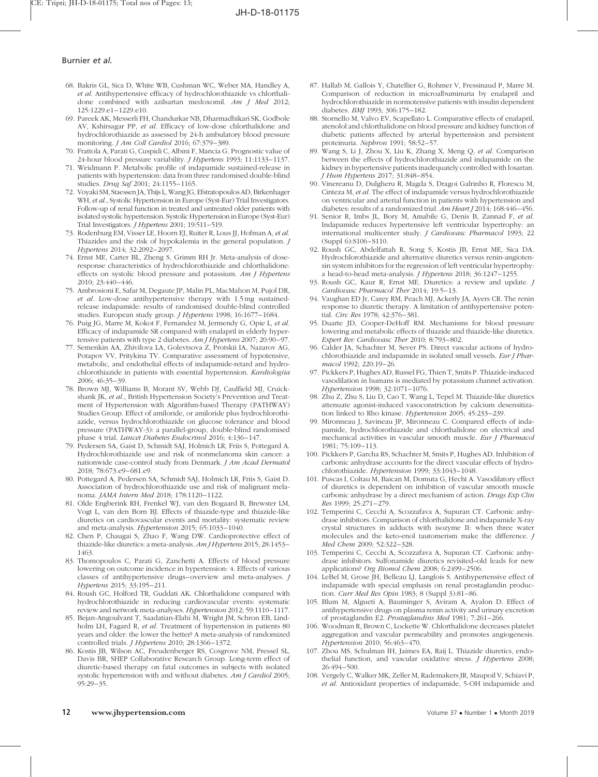- <span id="page-11-0"></span>68. Bakris GL, Sica D, White WB, Cushman WC, Weber MA, Handley A, et al. Antihypertensive efficacy of hydrochlorothiazide vs chlorthalidone combined with azilsartan medoxomil. Am J Med 2012; 125:1229.e1–1229.e10.
- 69. Pareek AK, Messerli FH, Chandurkar NB, Dharmadhikari SK, Godbole AV, Kshirsagar PP, et al. Efficacy of low-dose chlorthalidone and hydrochlorothiazide as assessed by 24-h ambulatory blood pressure monitoring. J Am Coll Cardiol 2016; 67:379–389.
- 70. Frattola A, Parati G, Cuspidi C, Albini F, Mancia G. Prognostic value of 24-hour blood pressure variability. *J Hypertens* 1993; 11:1133-1137.
- 71. Weidmann P. Metabolic profile of indapamide sustained-release in patients with hypertension: data from three randomised double-blind studies. Drug Saf 2001; 24:1155–1165.
- 72. Voyaki SM, Staessen JA, Thijs L,Wang JG, Efstratopoulos AD, Birkenhager WH, et al., Systolic Hypertension in Europe (Syst-Eur) Trial Investigators. Follow-up of renal function in treated and untreated older patients with isolated systolic hypertension. Systolic Hypertension in Europe (Syst-Eur) Trial Investigators. *J Hypertens* 2001; 19:511-519.
- 73. Rodenburg EM, Visser LE, Hoorn EJ, Ruiter R, Lous JJ, Hofman A, et al. Thiazides and the risk of hypokalemia in the general population. J Hypertens 2014; 32:2092–2097.
- 74. Ernst ME, Carter BL, Zheng S, Grimm RH Jr. Meta-analysis of doseresponse characteristics of hydrochlorothiazide and chlorthalidone: effects on systolic blood pressure and potassium. Am J Hypertens 2010; 23:440–446.
- 75. Ambrosioni E, Safar M, Degaute JP, Malin PL, MacMahon M, Pujol DR, et al. Low-dose antihypertensive therapy with 1.5 mg sustainedrelease indapamide: results of randomised double-blind controlled studies. European study group. *J Hypertens* 1998; 16:1677-1684.
- 76. Puig JG, Marre M, Kokot F, Fernandez M, Jermendy G, Opie L, et al. Efficacy of indapamide SR compared with enalapril in elderly hypertensive patients with type 2 diabetes. Am J Hypertens 2007; 20:90-97.
- 77. Semenkin AA, Zhivilova LA, Golevtsova Z, Protskii IA, Nazarov AG, Potapov VV, Pritykina TV. Comparative assessment of hypotensive, metabolic, and endothelial effects of indapamide-retard and hydrochlorothiazide in patients with essential hypertension. Kardiologiia 2006; 46:35–39.
- 78. Brown MJ, Williams B, Morant SV, Webb DJ, Caulfield MJ, Cruickshank JK, et al., British Hypertension Society's Prevention and Treatment of Hypertension with Algorithm-based Therapy (PATHWAY) Studies Group. Effect of amiloride, or amiloride plus hydrochlorothiazide, versus hydrochlorothiazide on glucose tolerance and blood pressure (PATHWAY-3): a parallel-group, double-blind randomised phase 4 trial. Lancet Diabetes Endocrinol 2016; 4:136–147.
- 79. Pedersen SA, Gaist D, Schmidt SAJ, Holmich LR, Friis S, Pottegard A. Hydrochlorothiazide use and risk of nonmelanoma skin cancer: a nationwide case-control study from Denmark. J Am Acad Dermatol 2018; 78:673.e9–681.e9.
- 80. Pottegard A, Pedersen SA, Schmidt SAJ, Holmich LR, Friis S, Gaist D. Association of hydrochlorothiazide use and risk of malignant melanoma. JAMA Intern Med 2018; 178:1120–1122.
- 81. Olde Engberink RH, Frenkel WJ, van den Bogaard B, Brewster LM, Vogt L, van den Born BJ. Effects of thiazide-type and thiazide-like diuretics on cardiovascular events and mortality: systematic review and meta-analysis. Hypertension 2015; 65:1033-1040.
- 82. Chen P, Chaugai S, Zhao F, Wang DW. Cardioprotective effect of thiazide-like diuretics: a meta-analysis. Am J Hypertens 2015; 28:1453-1463.
- 83. Thomopoulos C, Parati G, Zanchetti A. Effects of blood pressure lowering on outcome incidence in hypertension: 4. Effects of various classes of antihypertensive drugs–overview and meta-analyses. J Hypertens 2015; 33:195–211.
- 84. Roush GC, Holford TR, Guddati AK. Chlorthalidone compared with hydrochlorothiazide in reducing cardiovascular events: systematic review and network meta-analyses. Hypertension 2012; 59:1110–1117.
- 85. Bejan-Angoulvant T, Saadatian-Elahi M, Wright JM, Schron EB, Lindholm LH, Fagard R, et al. Treatment of hypertension in patients 80 years and older: the lower the better? A meta-analysis of randomized controlled trials. *J Hypertens* 2010; 28:1366-1372.
- 86. Kostis JB, Wilson AC, Freudenberger RS, Cosgrove NM, Pressel SL, Davis BR, SHEP Collaborative Research Group. Long-term effect of diuretic-based therapy on fatal outcomes in subjects with isolated systolic hypertension with and without diabetes. Am J Cardiol 2005; 95:29–35.
- 87. Hallab M, Gallois Y, Chatellier G, Rohmer V, Fressinaud P, Marre M. Comparison of reduction in microalbuminuria by enalapril and hydrochlorothiazide in normotensive patients with insulin dependent diabetes. BMJ 1993; 306:175–182.
- 88. Stornello M, Valvo EV, Scapellato L. Comparative effects of enalapril, atenolol and chlorthalidone on blood pressure and kidney function of diabetic patients affected by arterial hypertension and persistent proteinuria. Nephron 1991; 58:52–57.
- 89. Wang S, Li J, Zhou X, Liu K, Zhang X, Meng Q, et al. Comparison between the effects of hydrochlorothiazide and indapamide on the kidney in hypertensive patients inadequately controlled with losartan. J Hum Hypertens 2017; 31:848–854.
- 90. Vinereanu D, Dulgheru R, Magda S, Dragoi Galrinho R, Florescu M, Cinteza M, et al. The effect of indapamide versus hydrochlorothiazide on ventricular and arterial function in patients with hypertension and diabetes: results of a randomized trial. Am Heart J 2014; 168:446-456.
- 91. Senior R, Imbs JL, Bory M, Amabile G, Denis B, Zannad F, et al. Indapamide reduces hypertensive left ventricular hypertrophy: an international multicenter study. J Cardiovasc Pharmacol 1993; 22 (Suppl 6):S106–S110.
- 92. Roush GC, Abdelfattah R, Song S, Kostis JB, Ernst ME, Sica DA. Hydrochlorothiazide and alternative diuretics versus renin-angiotensin system inhibitors for the regression of left ventricular hypertrophy: a head-to-head meta-analysis. J Hypertens 2018; 36:1247–1255.
- 93. Roush GC, Kaur R, Ernst ME. Diuretics: a review and update. J Cardiovasc Pharmacol Ther 2014; 19:5–13.
- 94. Vaughan ED Jr, Carey RM, Peach MJ, Ackerly JA, Ayers CR. The renin response to diuretic therapy. A limitation of antihypertensive potential. Circ Res 1978; 42:376–381.
- 95. Duarte JD, Cooper-DeHoff RM. Mechanisms for blood pressure lowering and metabolic effects of thiazide and thiazide-like diuretics. Expert Rev Cardiovasc Ther 2010; 8:793–802.
- 96. Calder JA, Schachter M, Sever PS. Direct vascular actions of hydrochlorothiazide and indapamide in isolated small vessels. Eur J Pharmacol 1992; 220:19–26.
- 97. Pickkers P, Hughes AD, Russel FG, Thien T, Smits P. Thiazide-induced vasodilation in humans is mediated by potassium channel activation. Hypertension 1998; 32:1071–1076.
- 98. Zhu Z, Zhu S, Liu D, Cao T, Wang L, Tepel M. Thiazide-like diuretics attenuate agonist-induced vasoconstriction by calcium desensitization linked to Rho kinase. Hypertension 2005; 45:233–239.
- 99. Mironneau J, Savineau JP, Mironneau C. Compared effects of indapamide, hydrochlorothiazide and chlorthalidone on electrical and mechanical activities in vascular smooth muscle. Eur J Pharmacol 1981; 75:109–113.
- 100. Pickkers P, Garcha RS, Schachter M, Smits P, Hughes AD. Inhibition of carbonic anhydrase accounts for the direct vascular effects of hydrochlorothiazide. Hypertension 1999; 33:1043–1048.
- 101. Puscas I, Coltau M, Baican M, Domuta G, Hecht A. Vasodilatory effect of diuretics is dependent on inhibition of vascular smooth muscle carbonic anhydrase by a direct mechanism of action. Drugs Exp Clin Res 1999; 25:271–279.
- 102. Temperini C, Cecchi A, Scozzafava A, Supuran CT. Carbonic anhydrase inhibitors. Comparison of chlorthalidone and indapamide X-ray crystal structures in adducts with isozyme II: when three water molecules and the keto-enol tautomerism make the difference. J Med Chem 2009; 52:322–328.
- 103. Temperini C, Cecchi A, Scozzafava A, Supuran CT. Carbonic anhydrase inhibitors. Sulfonamide diuretics revisited–old leads for new applications? Org Biomol Chem 2008; 6:2499-2506.
- 104. LeBel M, Grose JH, Belleau LJ, Langlois S. Antihypertensive effect of indapamide with special emphasis on renal prostaglandin production. Curr Med Res Opin 1983; 8 (Suppl 3):81–86.
- 105. Blum M, Algueti A, Bauminger S, Aviram A, Ayalon D. Effect of antihypertensive drugs on plasma renin activity and urinary excretion of prostaglandin E2. Prostaglandins Med 1981; 7:261–266.
- 106. Woodman R, Brown C, Lockette W. Chlorthalidone decreases platelet aggregation and vascular permeability and promotes angiogenesis. Hypertension 2010; 56:463–470.
- 107. Zhou MS, Schulman IH, Jaimes EA, Raij L. Thiazide diuretics, endothelial function, and vascular oxidative stress. J Hypertens 2008; 26:494–500.
- 108. Vergely C, Walker MK, Zeller M, Rademakers JR, Maupoil V, Schiavi P, et al. Antioxidant properties of indapamide, 5-OH indapamide and